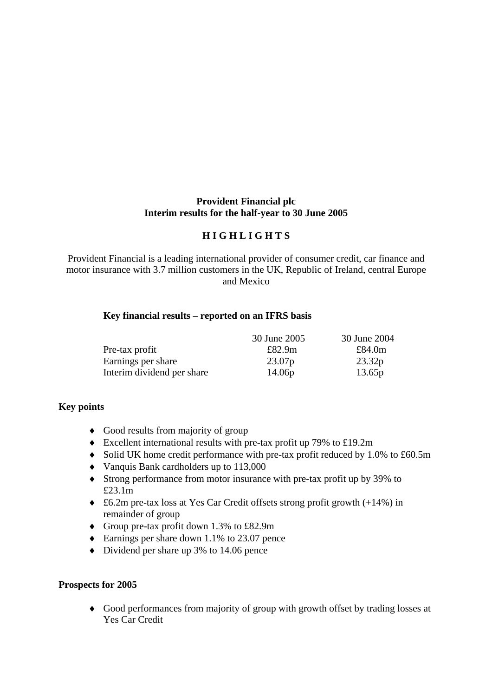#### **Provident Financial plc Interim results for the half-year to 30 June 2005**

## **H I G H L I G H T S**

Provident Financial is a leading international provider of consumer credit, car finance and motor insurance with 3.7 million customers in the UK, Republic of Ireland, central Europe and Mexico

#### **Key financial results – reported on an IFRS basis**

|                            | 30 June 2005 | 30 June 2004 |
|----------------------------|--------------|--------------|
| Pre-tax profit             | £82.9m       | £84.0m       |
| Earnings per share         | 23.07p       | 23.32p       |
| Interim dividend per share | 14.06p       | 13.65p       |

#### **Key points**

- ♦ Good results from majority of group
- ♦ Excellent international results with pre-tax profit up 79% to £19.2m
- ♦ Solid UK home credit performance with pre-tax profit reduced by 1.0% to £60.5m
- ♦ Vanquis Bank cardholders up to 113,000
- ♦ Strong performance from motor insurance with pre-tax profit up by 39% to £23.1m
- ♦ £6.2m pre-tax loss at Yes Car Credit offsets strong profit growth (+14%) in remainder of group
- ♦ Group pre-tax profit down 1.3% to £82.9m
- ♦ Earnings per share down 1.1% to 23.07 pence
- ♦ Dividend per share up 3% to 14.06 pence

#### **Prospects for 2005**

♦ Good performances from majority of group with growth offset by trading losses at Yes Car Credit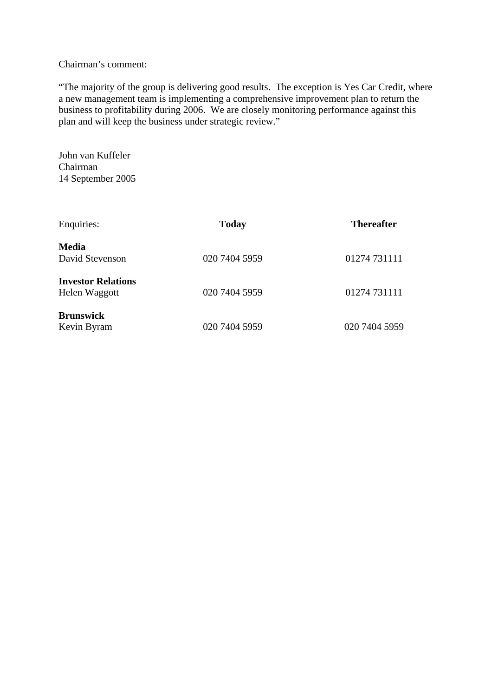#### Chairman's comment:

"The majority of the group is delivering good results. The exception is Yes Car Credit, where a new management team is implementing a comprehensive improvement plan to return the business to profitability during 2006. We are closely monitoring performance against this plan and will keep the business under strategic review."

John van Kuffeler Chairman 14 September 2005

| Enquiries:                                 | <b>Today</b>  | <b>Thereafter</b> |
|--------------------------------------------|---------------|-------------------|
| Media<br>David Stevenson                   | 020 7404 5959 | 01274 731111      |
| <b>Investor Relations</b><br>Helen Waggott | 020 7404 5959 | 01274 731111      |
| <b>Brunswick</b><br>Kevin Byram            | 020 7404 5959 | 020 7404 5959     |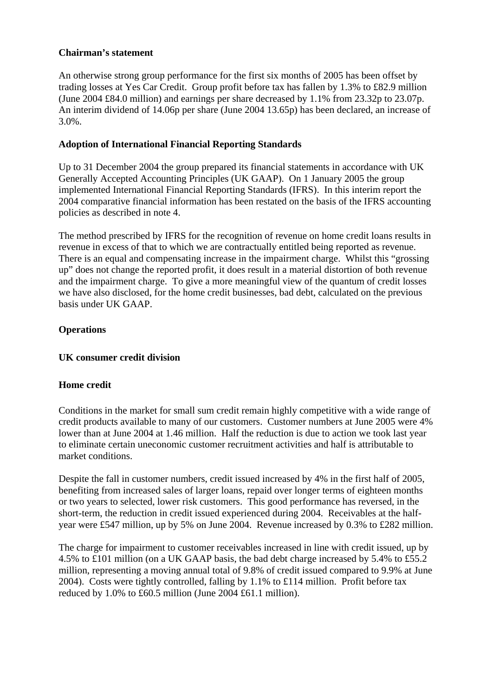#### **Chairman's statement**

An otherwise strong group performance for the first six months of 2005 has been offset by trading losses at Yes Car Credit. Group profit before tax has fallen by 1.3% to £82.9 million (June 2004 £84.0 million) and earnings per share decreased by 1.1% from 23.32p to 23.07p. An interim dividend of 14.06p per share (June 2004 13.65p) has been declared, an increase of 3.0%.

## **Adoption of International Financial Reporting Standards**

Up to 31 December 2004 the group prepared its financial statements in accordance with UK Generally Accepted Accounting Principles (UK GAAP). On 1 January 2005 the group implemented International Financial Reporting Standards (IFRS). In this interim report the 2004 comparative financial information has been restated on the basis of the IFRS accounting policies as described in note 4.

The method prescribed by IFRS for the recognition of revenue on home credit loans results in revenue in excess of that to which we are contractually entitled being reported as revenue. There is an equal and compensating increase in the impairment charge. Whilst this "grossing up" does not change the reported profit, it does result in a material distortion of both revenue and the impairment charge. To give a more meaningful view of the quantum of credit losses we have also disclosed, for the home credit businesses, bad debt, calculated on the previous basis under UK GAAP.

# **Operations**

## **UK consumer credit division**

## **Home credit**

Conditions in the market for small sum credit remain highly competitive with a wide range of credit products available to many of our customers. Customer numbers at June 2005 were 4% lower than at June 2004 at 1.46 million. Half the reduction is due to action we took last year to eliminate certain uneconomic customer recruitment activities and half is attributable to market conditions.

Despite the fall in customer numbers, credit issued increased by 4% in the first half of 2005, benefiting from increased sales of larger loans, repaid over longer terms of eighteen months or two years to selected, lower risk customers. This good performance has reversed, in the short-term, the reduction in credit issued experienced during 2004. Receivables at the halfyear were £547 million, up by 5% on June 2004. Revenue increased by 0.3% to £282 million.

The charge for impairment to customer receivables increased in line with credit issued, up by 4.5% to £101 million (on a UK GAAP basis, the bad debt charge increased by 5.4% to £55.2 million, representing a moving annual total of 9.8% of credit issued compared to 9.9% at June 2004). Costs were tightly controlled, falling by 1.1% to £114 million. Profit before tax reduced by 1.0% to £60.5 million (June 2004 £61.1 million).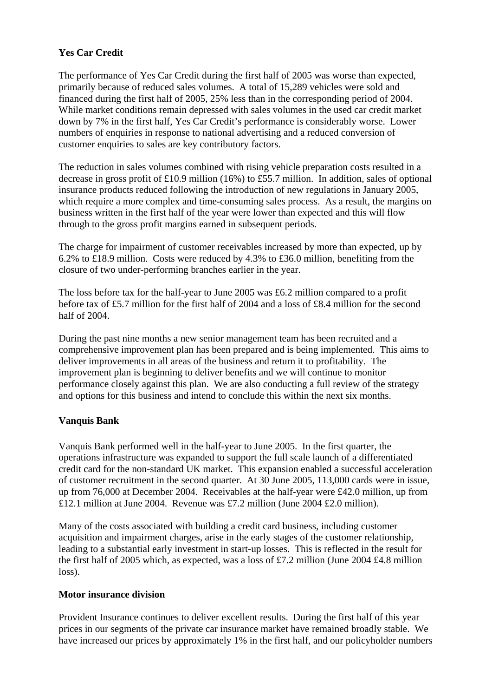# **Yes Car Credit**

The performance of Yes Car Credit during the first half of 2005 was worse than expected, primarily because of reduced sales volumes. A total of 15,289 vehicles were sold and financed during the first half of 2005, 25% less than in the corresponding period of 2004. While market conditions remain depressed with sales volumes in the used car credit market down by 7% in the first half, Yes Car Credit's performance is considerably worse. Lower numbers of enquiries in response to national advertising and a reduced conversion of customer enquiries to sales are key contributory factors.

The reduction in sales volumes combined with rising vehicle preparation costs resulted in a decrease in gross profit of £10.9 million (16%) to £55.7 million. In addition, sales of optional insurance products reduced following the introduction of new regulations in January 2005, which require a more complex and time-consuming sales process. As a result, the margins on business written in the first half of the year were lower than expected and this will flow through to the gross profit margins earned in subsequent periods.

The charge for impairment of customer receivables increased by more than expected, up by 6.2% to £18.9 million. Costs were reduced by 4.3% to £36.0 million, benefiting from the closure of two under-performing branches earlier in the year.

The loss before tax for the half-year to June 2005 was £6.2 million compared to a profit before tax of £5.7 million for the first half of 2004 and a loss of £8.4 million for the second half of 2004.

During the past nine months a new senior management team has been recruited and a comprehensive improvement plan has been prepared and is being implemented. This aims to deliver improvements in all areas of the business and return it to profitability. The improvement plan is beginning to deliver benefits and we will continue to monitor performance closely against this plan. We are also conducting a full review of the strategy and options for this business and intend to conclude this within the next six months.

## **Vanquis Bank**

Vanquis Bank performed well in the half-year to June 2005. In the first quarter, the operations infrastructure was expanded to support the full scale launch of a differentiated credit card for the non-standard UK market. This expansion enabled a successful acceleration of customer recruitment in the second quarter. At 30 June 2005, 113,000 cards were in issue, up from 76,000 at December 2004. Receivables at the half-year were £42.0 million, up from £12.1 million at June 2004. Revenue was £7.2 million (June 2004 £2.0 million).

Many of the costs associated with building a credit card business, including customer acquisition and impairment charges, arise in the early stages of the customer relationship, leading to a substantial early investment in start-up losses. This is reflected in the result for the first half of 2005 which, as expected, was a loss of £7.2 million (June 2004 £4.8 million loss).

## **Motor insurance division**

Provident Insurance continues to deliver excellent results. During the first half of this year prices in our segments of the private car insurance market have remained broadly stable. We have increased our prices by approximately 1% in the first half, and our policyholder numbers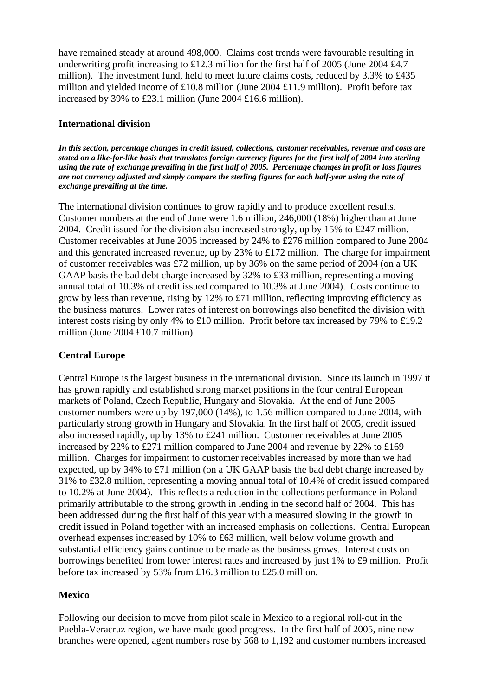have remained steady at around 498,000. Claims cost trends were favourable resulting in underwriting profit increasing to £12.3 million for the first half of 2005 (June 2004 £4.7 million). The investment fund, held to meet future claims costs, reduced by 3.3% to £435 million and yielded income of £10.8 million (June 2004 £11.9 million). Profit before tax increased by 39% to £23.1 million (June 2004 £16.6 million).

#### **International division**

*In this section, percentage changes in credit issued, collections, customer receivables, revenue and costs are stated on a like-for-like basis that translates foreign currency figures for the first half of 2004 into sterling using the rate of exchange prevailing in the first half of 2005. Percentage changes in profit or loss figures are not currency adjusted and simply compare the sterling figures for each half-year using the rate of exchange prevailing at the time.* 

The international division continues to grow rapidly and to produce excellent results. Customer numbers at the end of June were 1.6 million, 246,000 (18%) higher than at June 2004. Credit issued for the division also increased strongly, up by 15% to £247 million. Customer receivables at June 2005 increased by 24% to £276 million compared to June 2004 and this generated increased revenue, up by 23% to £172 million. The charge for impairment of customer receivables was £72 million, up by 36% on the same period of 2004 (on a UK GAAP basis the bad debt charge increased by 32% to £33 million, representing a moving annual total of 10.3% of credit issued compared to 10.3% at June 2004). Costs continue to grow by less than revenue, rising by 12% to £71 million, reflecting improving efficiency as the business matures. Lower rates of interest on borrowings also benefited the division with interest costs rising by only 4% to £10 million. Profit before tax increased by 79% to £19.2 million (June 2004 £10.7 million).

## **Central Europe**

Central Europe is the largest business in the international division. Since its launch in 1997 it has grown rapidly and established strong market positions in the four central European markets of Poland, Czech Republic, Hungary and Slovakia. At the end of June 2005 customer numbers were up by 197,000 (14%), to 1.56 million compared to June 2004, with particularly strong growth in Hungary and Slovakia. In the first half of 2005, credit issued also increased rapidly, up by 13% to £241 million. Customer receivables at June 2005 increased by 22% to £271 million compared to June 2004 and revenue by 22% to £169 million. Charges for impairment to customer receivables increased by more than we had expected, up by 34% to £71 million (on a UK GAAP basis the bad debt charge increased by 31% to £32.8 million, representing a moving annual total of 10.4% of credit issued compared to 10.2% at June 2004). This reflects a reduction in the collections performance in Poland primarily attributable to the strong growth in lending in the second half of 2004. This has been addressed during the first half of this year with a measured slowing in the growth in credit issued in Poland together with an increased emphasis on collections. Central European overhead expenses increased by 10% to £63 million, well below volume growth and substantial efficiency gains continue to be made as the business grows. Interest costs on borrowings benefited from lower interest rates and increased by just 1% to £9 million. Profit before tax increased by 53% from £16.3 million to £25.0 million.

## **Mexico**

Following our decision to move from pilot scale in Mexico to a regional roll-out in the Puebla-Veracruz region, we have made good progress. In the first half of 2005, nine new branches were opened, agent numbers rose by 568 to 1,192 and customer numbers increased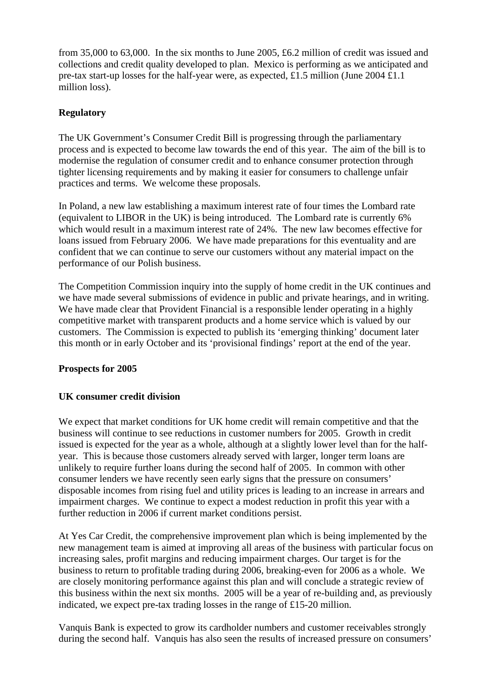from 35,000 to 63,000. In the six months to June 2005, £6.2 million of credit was issued and collections and credit quality developed to plan. Mexico is performing as we anticipated and pre-tax start-up losses for the half-year were, as expected, £1.5 million (June 2004 £1.1 million loss).

## **Regulatory**

The UK Government's Consumer Credit Bill is progressing through the parliamentary process and is expected to become law towards the end of this year. The aim of the bill is to modernise the regulation of consumer credit and to enhance consumer protection through tighter licensing requirements and by making it easier for consumers to challenge unfair practices and terms. We welcome these proposals.

In Poland, a new law establishing a maximum interest rate of four times the Lombard rate (equivalent to LIBOR in the UK) is being introduced. The Lombard rate is currently 6% which would result in a maximum interest rate of 24%. The new law becomes effective for loans issued from February 2006. We have made preparations for this eventuality and are confident that we can continue to serve our customers without any material impact on the performance of our Polish business.

The Competition Commission inquiry into the supply of home credit in the UK continues and we have made several submissions of evidence in public and private hearings, and in writing. We have made clear that Provident Financial is a responsible lender operating in a highly competitive market with transparent products and a home service which is valued by our customers. The Commission is expected to publish its 'emerging thinking' document later this month or in early October and its 'provisional findings' report at the end of the year.

## **Prospects for 2005**

## **UK consumer credit division**

We expect that market conditions for UK home credit will remain competitive and that the business will continue to see reductions in customer numbers for 2005. Growth in credit issued is expected for the year as a whole, although at a slightly lower level than for the halfyear. This is because those customers already served with larger, longer term loans are unlikely to require further loans during the second half of 2005. In common with other consumer lenders we have recently seen early signs that the pressure on consumers' disposable incomes from rising fuel and utility prices is leading to an increase in arrears and impairment charges. We continue to expect a modest reduction in profit this year with a further reduction in 2006 if current market conditions persist.

At Yes Car Credit, the comprehensive improvement plan which is being implemented by the new management team is aimed at improving all areas of the business with particular focus on increasing sales, profit margins and reducing impairment charges. Our target is for the business to return to profitable trading during 2006, breaking-even for 2006 as a whole. We are closely monitoring performance against this plan and will conclude a strategic review of this business within the next six months. 2005 will be a year of re-building and, as previously indicated, we expect pre-tax trading losses in the range of £15-20 million.

Vanquis Bank is expected to grow its cardholder numbers and customer receivables strongly during the second half. Vanquis has also seen the results of increased pressure on consumers'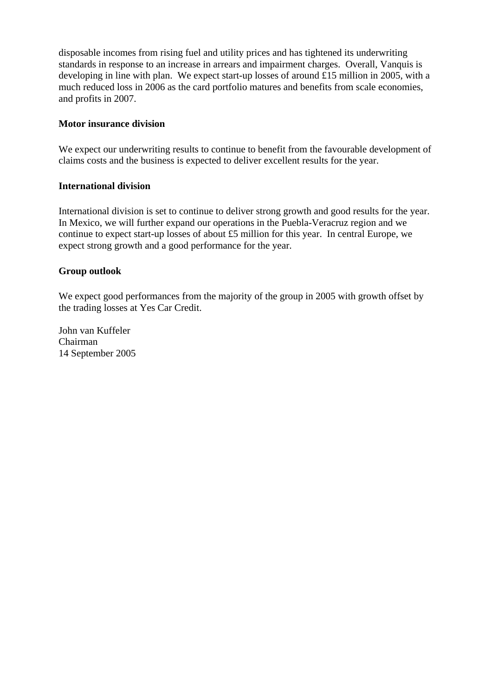disposable incomes from rising fuel and utility prices and has tightened its underwriting standards in response to an increase in arrears and impairment charges. Overall, Vanquis is developing in line with plan. We expect start-up losses of around £15 million in 2005, with a much reduced loss in 2006 as the card portfolio matures and benefits from scale economies, and profits in 2007.

#### **Motor insurance division**

We expect our underwriting results to continue to benefit from the favourable development of claims costs and the business is expected to deliver excellent results for the year.

#### **International division**

International division is set to continue to deliver strong growth and good results for the year. In Mexico, we will further expand our operations in the Puebla-Veracruz region and we continue to expect start-up losses of about £5 million for this year. In central Europe, we expect strong growth and a good performance for the year.

#### **Group outlook**

We expect good performances from the majority of the group in 2005 with growth offset by the trading losses at Yes Car Credit.

John van Kuffeler Chairman 14 September 2005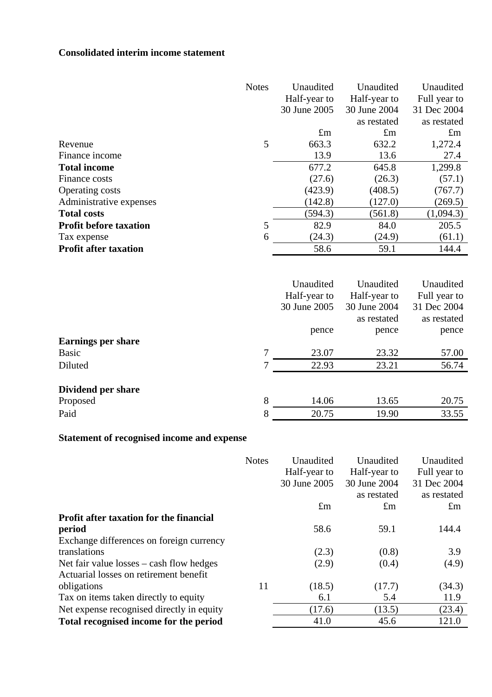# **Consolidated interim income statement**

|                               | <b>Notes</b> | Unaudited    | Unaudited    | Unaudited    |
|-------------------------------|--------------|--------------|--------------|--------------|
|                               |              | Half-year to | Half-year to | Full year to |
|                               |              | 30 June 2005 | 30 June 2004 | 31 Dec 2004  |
|                               |              |              | as restated  | as restated  |
|                               |              | $\pounds$ m  | $\pounds$ m  | $\pounds$ m  |
| Revenue                       | 5            | 663.3        | 632.2        | 1,272.4      |
| Finance income                |              | 13.9         | 13.6         | 27.4         |
| <b>Total income</b>           |              | 677.2        | 645.8        | 1,299.8      |
| Finance costs                 |              | (27.6)       | (26.3)       | (57.1)       |
| <b>Operating costs</b>        |              | (423.9)      | (408.5)      | (767.7)      |
| Administrative expenses       |              | (142.8)      | (127.0)      | (269.5)      |
| <b>Total costs</b>            |              | (594.3)      | (561.8)      | (1,094.3)    |
| <b>Profit before taxation</b> | 5            | 82.9         | 84.0         | 205.5        |
| Tax expense                   | 6            | (24.3)       | (24.9)       | (61.1)       |
| <b>Profit after taxation</b>  |              | 58.6         | 59.1         | 144.4        |
|                               |              |              |              |              |
|                               |              | Unaudited    | Unaudited    | Unaudited    |
|                               |              | Half-year to | Half-year to | Full year to |
|                               |              | 30 June 2005 | 30 June 2004 | 31 Dec 2004  |
|                               |              |              | as restated  | as restated  |
|                               |              | pence        | pence        | pence        |
| <b>Earnings per share</b>     |              |              |              |              |
| <b>Basic</b>                  | 7            | 23.07        | 23.32        | 57.00        |
| Diluted                       | 7            | 22.93        | 23.21        | 56.74        |
|                               |              |              |              |              |
| Dividend per share            |              |              |              |              |
| Proposed                      | 8            | 14.06        | 13.65        | 20.75        |
| Paid                          | 8            | 20.75        | 19.90        | 33.55        |

# **Statement of recognised income and expense**

|                                                | <b>Notes</b> | Unaudited    | Unaudited    | Unaudited    |
|------------------------------------------------|--------------|--------------|--------------|--------------|
|                                                |              | Half-year to | Half-year to | Full year to |
|                                                |              | 30 June 2005 | 30 June 2004 | 31 Dec 2004  |
|                                                |              |              | as restated  | as restated  |
|                                                |              | $\pounds$ m  | $\pm$ m      | $\pounds$ m  |
| <b>Profit after taxation for the financial</b> |              |              |              |              |
| period                                         |              | 58.6         | 59.1         | 144.4        |
| Exchange differences on foreign currency       |              |              |              |              |
| translations                                   |              | (2.3)        | (0.8)        | 3.9          |
| Net fair value $losses - cash flow$ hedges     |              | (2.9)        | (0.4)        | (4.9)        |
| Actuarial losses on retirement benefit         |              |              |              |              |
| obligations                                    | 11           | (18.5)       | (17.7)       | (34.3)       |
| Tax on items taken directly to equity          |              | 6.1          | 5.4          | 11.9         |
| Net expense recognised directly in equity      |              | (17.6)       | (13.5)       | (23.4)       |
| Total recognised income for the period         |              | 41.0         | 45.6         | 121.0        |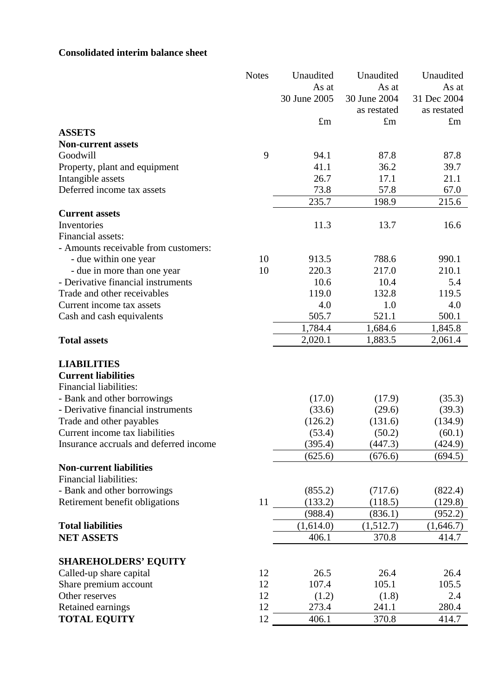# **Consolidated interim balance sheet**

|                                                                   | <b>Notes</b> | Unaudited     | Unaudited    | Unaudited    |
|-------------------------------------------------------------------|--------------|---------------|--------------|--------------|
|                                                                   |              | As at         | As at        | As at        |
|                                                                   |              | 30 June 2005  | 30 June 2004 | 31 Dec 2004  |
|                                                                   |              |               | as restated  | as restated  |
|                                                                   |              | $\pounds$ m   | $\pounds$ m  | $\pounds$ m  |
| <b>ASSETS</b>                                                     |              |               |              |              |
| <b>Non-current assets</b>                                         |              |               |              |              |
| Goodwill                                                          | 9            | 94.1          | 87.8         | 87.8         |
| Property, plant and equipment                                     |              | 41.1          | 36.2         | 39.7         |
| Intangible assets                                                 |              | 26.7          | 17.1         | 21.1         |
| Deferred income tax assets                                        |              | 73.8          | 57.8         | 67.0         |
|                                                                   |              | 235.7         | 198.9        | 215.6        |
| <b>Current assets</b>                                             |              |               |              |              |
| Inventories                                                       |              | 11.3          | 13.7         | 16.6         |
| Financial assets:                                                 |              |               |              |              |
| - Amounts receivable from customers:                              |              |               |              |              |
| - due within one year                                             | 10           | 913.5         | 788.6        | 990.1        |
| - due in more than one year                                       | 10           | 220.3         | 217.0        | 210.1        |
| - Derivative financial instruments<br>Trade and other receivables |              | 10.6<br>119.0 | 10.4         | 5.4          |
|                                                                   |              | 4.0           | 132.8        | 119.5        |
| Current income tax assets                                         |              | 505.7         | 1.0<br>521.1 | 4.0<br>500.1 |
| Cash and cash equivalents                                         |              | 1,784.4       | 1,684.6      | 1,845.8      |
| <b>Total assets</b>                                               |              | 2,020.1       | 1,883.5      | 2,061.4      |
|                                                                   |              |               |              |              |
| <b>LIABILITIES</b>                                                |              |               |              |              |
| <b>Current liabilities</b>                                        |              |               |              |              |
| Financial liabilities:                                            |              |               |              |              |
| - Bank and other borrowings                                       |              | (17.0)        | (17.9)       | (35.3)       |
| - Derivative financial instruments                                |              | (33.6)        | (29.6)       | (39.3)       |
| Trade and other payables                                          |              | (126.2)       | (131.6)      | (134.9)      |
| Current income tax liabilities                                    |              | (53.4)        | (50.2)       | (60.1)       |
| Insurance accruals and deferred income                            |              | (395.4)       | (447.3)      | (424.9)      |
|                                                                   |              | (625.6)       | (676.6)      | (694.5)      |
| <b>Non-current liabilities</b>                                    |              |               |              |              |
| <b>Financial liabilities:</b>                                     |              |               |              |              |
| - Bank and other borrowings                                       |              | (855.2)       | (717.6)      | (822.4)      |
| Retirement benefit obligations                                    | 11           | (133.2)       | (118.5)      | (129.8)      |
|                                                                   |              | (988.4)       | (836.1)      | (952.2)      |
| <b>Total liabilities</b>                                          |              | (1,614.0)     | (1,512.7)    | (1,646.7)    |
| <b>NET ASSETS</b>                                                 |              | 406.1         | 370.8        | 414.7        |
|                                                                   |              |               |              |              |
| <b>SHAREHOLDERS' EQUITY</b>                                       |              |               |              |              |
| Called-up share capital                                           | 12           | 26.5          | 26.4         | 26.4         |
| Share premium account                                             | 12           | 107.4         | 105.1        | 105.5        |
| Other reserves                                                    | 12           | (1.2)         | (1.8)        | 2.4          |
| Retained earnings                                                 | 12           | 273.4         | 241.1        | 280.4        |
| <b>TOTAL EQUITY</b>                                               | 12           | 406.1         | 370.8        | 414.7        |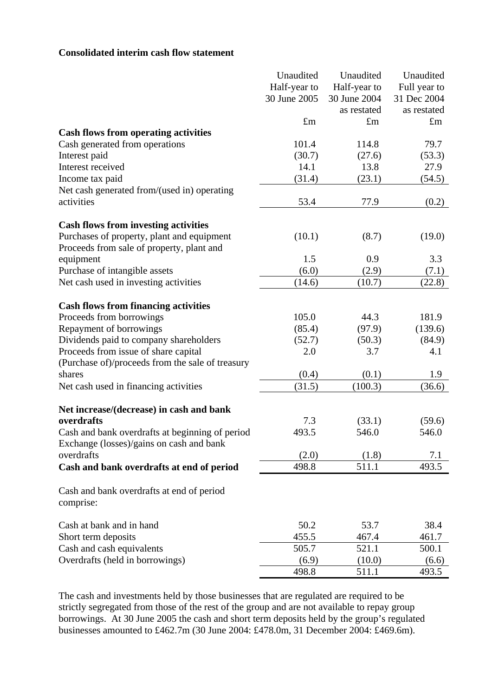#### **Consolidated interim cash flow statement**

|                                                                                             | Unaudited    | Unaudited    | Unaudited    |
|---------------------------------------------------------------------------------------------|--------------|--------------|--------------|
|                                                                                             | Half-year to | Half-year to | Full year to |
|                                                                                             | 30 June 2005 | 30 June 2004 | 31 Dec 2004  |
|                                                                                             |              | as restated  | as restated  |
|                                                                                             | $\pounds$ m  | $\pounds$ m  | $\pounds$ m  |
| <b>Cash flows from operating activities</b>                                                 |              |              |              |
| Cash generated from operations                                                              | 101.4        | 114.8        | 79.7         |
| Interest paid                                                                               | (30.7)       | (27.6)       | (53.3)       |
| Interest received                                                                           | 14.1         | 13.8         | 27.9         |
| Income tax paid                                                                             | (31.4)       | (23.1)       | (54.5)       |
| Net cash generated from/(used in) operating                                                 |              |              |              |
| activities                                                                                  | 53.4         | 77.9         | (0.2)        |
| <b>Cash flows from investing activities</b>                                                 |              |              |              |
| Purchases of property, plant and equipment                                                  | (10.1)       | (8.7)        | (19.0)       |
| Proceeds from sale of property, plant and                                                   |              |              |              |
| equipment                                                                                   | 1.5          | 0.9          | 3.3          |
| Purchase of intangible assets                                                               | (6.0)        | (2.9)        | (7.1)        |
| Net cash used in investing activities                                                       | (14.6)       | (10.7)       | (22.8)       |
| <b>Cash flows from financing activities</b>                                                 |              |              |              |
| Proceeds from borrowings                                                                    | 105.0        | 44.3         | 181.9        |
| Repayment of borrowings                                                                     | (85.4)       | (97.9)       | (139.6)      |
| Dividends paid to company shareholders                                                      | (52.7)       | (50.3)       | (84.9)       |
| Proceeds from issue of share capital                                                        | 2.0          | 3.7          | 4.1          |
| (Purchase of)/proceeds from the sale of treasury                                            |              |              |              |
| shares                                                                                      | (0.4)        | (0.1)        | 1.9          |
| Net cash used in financing activities                                                       | (31.5)       | (100.3)      | (36.6)       |
|                                                                                             |              |              |              |
| Net increase/(decrease) in cash and bank                                                    |              |              |              |
| overdrafts                                                                                  | 7.3          | (33.1)       | (59.6)       |
| Cash and bank overdrafts at beginning of period<br>Exchange (losses)/gains on cash and bank | 493.5        | 546.0        | 546.0        |
| overdrafts                                                                                  | (2.0)        | (1.8)        | 7.1          |
| Cash and bank overdrafts at end of period                                                   | 498.8        | 511.1        | 493.5        |
| Cash and bank overdrafts at end of period<br>comprise:                                      |              |              |              |
| Cash at bank and in hand                                                                    | 50.2         | 53.7         | 38.4         |
| Short term deposits                                                                         | 455.5        | 467.4        | 461.7        |
| Cash and cash equivalents                                                                   | 505.7        | 521.1        | 500.1        |
| Overdrafts (held in borrowings)                                                             | (6.9)        | (10.0)       | (6.6)        |
|                                                                                             | 498.8        | 511.1        | 493.5        |

The cash and investments held by those businesses that are regulated are required to be strictly segregated from those of the rest of the group and are not available to repay group borrowings. At 30 June 2005 the cash and short term deposits held by the group's regulated businesses amounted to £462.7m (30 June 2004: £478.0m, 31 December 2004: £469.6m).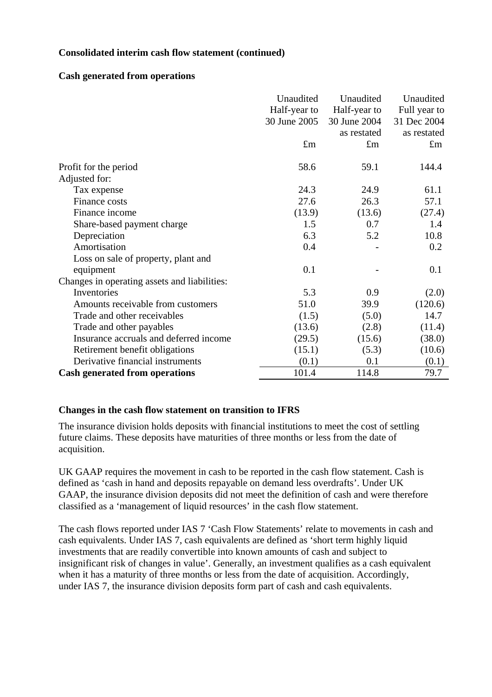#### **Consolidated interim cash flow statement (continued)**

#### **Cash generated from operations**

|                                              | Unaudited    | Unaudited    | Unaudited    |
|----------------------------------------------|--------------|--------------|--------------|
|                                              | Half-year to | Half-year to | Full year to |
|                                              | 30 June 2005 | 30 June 2004 | 31 Dec 2004  |
|                                              |              | as restated  | as restated  |
|                                              | $\pounds$ m  | $\pounds$ m  | $\pounds$ m  |
| Profit for the period                        | 58.6         | 59.1         | 144.4        |
| Adjusted for:                                |              |              |              |
| Tax expense                                  | 24.3         | 24.9         | 61.1         |
| Finance costs                                | 27.6         | 26.3         | 57.1         |
| Finance income                               | (13.9)       | (13.6)       | (27.4)       |
| Share-based payment charge                   | 1.5          | 0.7          | 1.4          |
| Depreciation                                 | 6.3          | 5.2          | 10.8         |
| Amortisation                                 | 0.4          |              | 0.2          |
| Loss on sale of property, plant and          |              |              |              |
| equipment                                    | 0.1          |              | 0.1          |
| Changes in operating assets and liabilities: |              |              |              |
| Inventories                                  | 5.3          | 0.9          | (2.0)        |
| Amounts receivable from customers            | 51.0         | 39.9         | (120.6)      |
| Trade and other receivables                  | (1.5)        | (5.0)        | 14.7         |
| Trade and other payables                     | (13.6)       | (2.8)        | (11.4)       |
| Insurance accruals and deferred income       | (29.5)       | (15.6)       | (38.0)       |
| Retirement benefit obligations               | (15.1)       | (5.3)        | (10.6)       |
| Derivative financial instruments             | (0.1)        | 0.1          | (0.1)        |
| <b>Cash generated from operations</b>        | 101.4        | 114.8        | 79.7         |

## **Changes in the cash flow statement on transition to IFRS**

The insurance division holds deposits with financial institutions to meet the cost of settling future claims. These deposits have maturities of three months or less from the date of acquisition.

UK GAAP requires the movement in cash to be reported in the cash flow statement. Cash is defined as 'cash in hand and deposits repayable on demand less overdrafts'. Under UK GAAP, the insurance division deposits did not meet the definition of cash and were therefore classified as a 'management of liquid resources' in the cash flow statement.

The cash flows reported under IAS 7 'Cash Flow Statements' relate to movements in cash and cash equivalents. Under IAS 7, cash equivalents are defined as 'short term highly liquid investments that are readily convertible into known amounts of cash and subject to insignificant risk of changes in value'. Generally, an investment qualifies as a cash equivalent when it has a maturity of three months or less from the date of acquisition. Accordingly, under IAS 7, the insurance division deposits form part of cash and cash equivalents.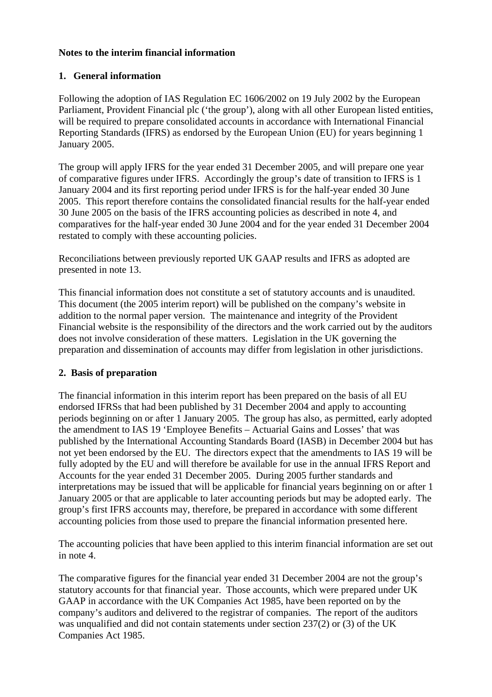#### **Notes to the interim financial information**

## **1. General information**

Following the adoption of IAS Regulation EC 1606/2002 on 19 July 2002 by the European Parliament, Provident Financial plc ('the group'), along with all other European listed entities, will be required to prepare consolidated accounts in accordance with International Financial Reporting Standards (IFRS) as endorsed by the European Union (EU) for years beginning 1 January 2005.

The group will apply IFRS for the year ended 31 December 2005, and will prepare one year of comparative figures under IFRS. Accordingly the group's date of transition to IFRS is 1 January 2004 and its first reporting period under IFRS is for the half-year ended 30 June 2005. This report therefore contains the consolidated financial results for the half-year ended 30 June 2005 on the basis of the IFRS accounting policies as described in note 4, and comparatives for the half-year ended 30 June 2004 and for the year ended 31 December 2004 restated to comply with these accounting policies.

Reconciliations between previously reported UK GAAP results and IFRS as adopted are presented in note 13.

This financial information does not constitute a set of statutory accounts and is unaudited. This document (the 2005 interim report) will be published on the company's website in addition to the normal paper version. The maintenance and integrity of the Provident Financial website is the responsibility of the directors and the work carried out by the auditors does not involve consideration of these matters. Legislation in the UK governing the preparation and dissemination of accounts may differ from legislation in other jurisdictions.

## **2. Basis of preparation**

The financial information in this interim report has been prepared on the basis of all EU endorsed IFRSs that had been published by 31 December 2004 and apply to accounting periods beginning on or after 1 January 2005. The group has also, as permitted, early adopted the amendment to IAS 19 'Employee Benefits – Actuarial Gains and Losses' that was published by the International Accounting Standards Board (IASB) in December 2004 but has not yet been endorsed by the EU. The directors expect that the amendments to IAS 19 will be fully adopted by the EU and will therefore be available for use in the annual IFRS Report and Accounts for the year ended 31 December 2005. During 2005 further standards and interpretations may be issued that will be applicable for financial years beginning on or after 1 January 2005 or that are applicable to later accounting periods but may be adopted early. The group's first IFRS accounts may, therefore, be prepared in accordance with some different accounting policies from those used to prepare the financial information presented here.

The accounting policies that have been applied to this interim financial information are set out in note 4.

The comparative figures for the financial year ended 31 December 2004 are not the group's statutory accounts for that financial year. Those accounts, which were prepared under UK GAAP in accordance with the UK Companies Act 1985, have been reported on by the company's auditors and delivered to the registrar of companies. The report of the auditors was unqualified and did not contain statements under section 237(2) or (3) of the UK Companies Act 1985.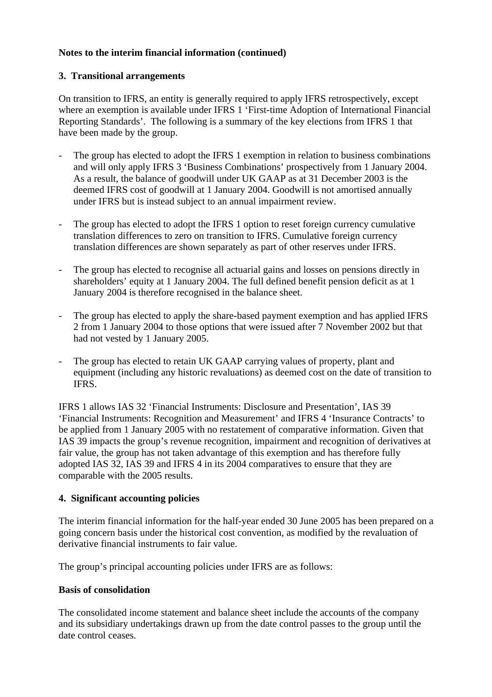#### **3. Transitional arrangements**

On transition to IFRS, an entity is generally required to apply IFRS retrospectively, except where an exemption is available under IFRS 1 'First-time Adoption of International Financial Reporting Standards'. The following is a summary of the key elections from IFRS 1 that have been made by the group.

- The group has elected to adopt the IFRS 1 exemption in relation to business combinations and will only apply IFRS 3 'Business Combinations' prospectively from 1 January 2004. As a result, the balance of goodwill under UK GAAP as at 31 December 2003 is the deemed IFRS cost of goodwill at 1 January 2004. Goodwill is not amortised annually under IFRS but is instead subject to an annual impairment review.
- The group has elected to adopt the IFRS 1 option to reset foreign currency cumulative translation differences to zero on transition to IFRS. Cumulative foreign currency translation differences are shown separately as part of other reserves under IFRS.
- The group has elected to recognise all actuarial gains and losses on pensions directly in shareholders' equity at 1 January 2004. The full defined benefit pension deficit as at 1 January 2004 is therefore recognised in the balance sheet.
- The group has elected to apply the share-based payment exemption and has applied IFRS 2 from 1 January 2004 to those options that were issued after 7 November 2002 but that had not vested by 1 January 2005.
- The group has elected to retain UK GAAP carrying values of property, plant and equipment (including any historic revaluations) as deemed cost on the date of transition to IFRS.

IFRS 1 allows IAS 32 'Financial Instruments: Disclosure and Presentation', IAS 39 'Financial Instruments: Recognition and Measurement' and IFRS 4 'Insurance Contracts' to be applied from 1 January 2005 with no restatement of comparative information. Given that IAS 39 impacts the group's revenue recognition, impairment and recognition of derivatives at fair value, the group has not taken advantage of this exemption and has therefore fully adopted IAS 32, IAS 39 and IFRS 4 in its 2004 comparatives to ensure that they are comparable with the 2005 results.

## **4. Significant accounting policies**

The interim financial information for the half-year ended 30 June 2005 has been prepared on a going concern basis under the historical cost convention, as modified by the revaluation of derivative financial instruments to fair value.

The group's principal accounting policies under IFRS are as follows:

#### **Basis of consolidation**

The consolidated income statement and balance sheet include the accounts of the company and its subsidiary undertakings drawn up from the date control passes to the group until the date control ceases.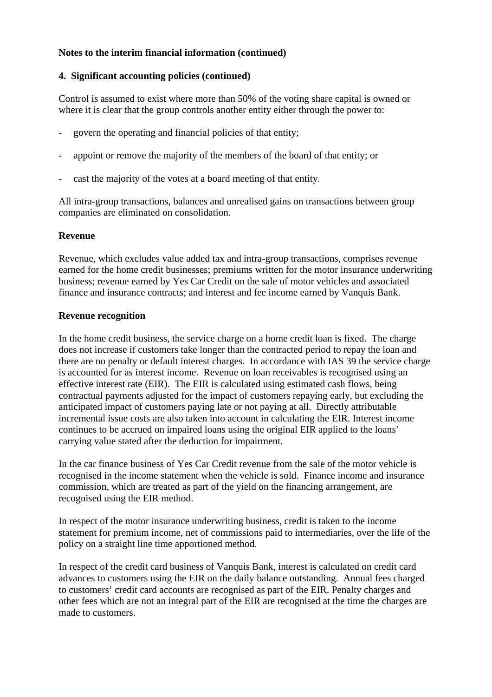#### **4. Significant accounting policies (continued)**

Control is assumed to exist where more than 50% of the voting share capital is owned or where it is clear that the group controls another entity either through the power to:

- govern the operating and financial policies of that entity;
- appoint or remove the majority of the members of the board of that entity; or
- cast the majority of the votes at a board meeting of that entity.

All intra-group transactions, balances and unrealised gains on transactions between group companies are eliminated on consolidation.

#### **Revenue**

Revenue, which excludes value added tax and intra-group transactions, comprises revenue earned for the home credit businesses; premiums written for the motor insurance underwriting business; revenue earned by Yes Car Credit on the sale of motor vehicles and associated finance and insurance contracts; and interest and fee income earned by Vanquis Bank.

#### **Revenue recognition**

In the home credit business, the service charge on a home credit loan is fixed. The charge does not increase if customers take longer than the contracted period to repay the loan and there are no penalty or default interest charges. In accordance with IAS 39 the service charge is accounted for as interest income. Revenue on loan receivables is recognised using an effective interest rate (EIR). The EIR is calculated using estimated cash flows, being contractual payments adjusted for the impact of customers repaying early, but excluding the anticipated impact of customers paying late or not paying at all. Directly attributable incremental issue costs are also taken into account in calculating the EIR. Interest income continues to be accrued on impaired loans using the original EIR applied to the loans' carrying value stated after the deduction for impairment.

In the car finance business of Yes Car Credit revenue from the sale of the motor vehicle is recognised in the income statement when the vehicle is sold. Finance income and insurance commission, which are treated as part of the yield on the financing arrangement, are recognised using the EIR method.

In respect of the motor insurance underwriting business, credit is taken to the income statement for premium income, net of commissions paid to intermediaries, over the life of the policy on a straight line time apportioned method.

In respect of the credit card business of Vanquis Bank, interest is calculated on credit card advances to customers using the EIR on the daily balance outstanding. Annual fees charged to customers' credit card accounts are recognised as part of the EIR. Penalty charges and other fees which are not an integral part of the EIR are recognised at the time the charges are made to customers.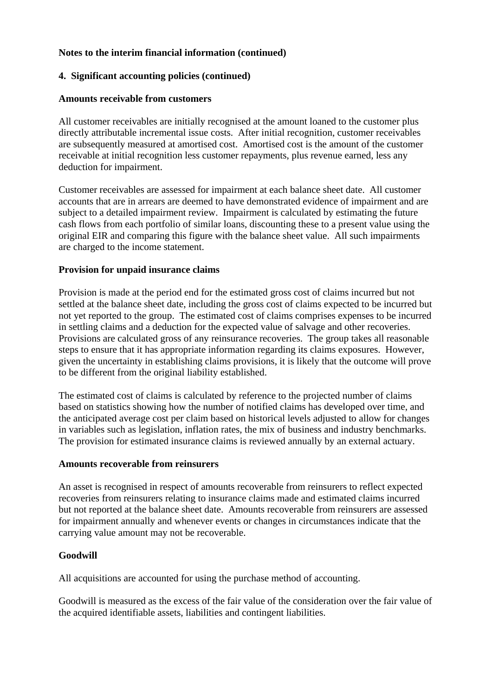### **4. Significant accounting policies (continued)**

#### **Amounts receivable from customers**

All customer receivables are initially recognised at the amount loaned to the customer plus directly attributable incremental issue costs. After initial recognition, customer receivables are subsequently measured at amortised cost. Amortised cost is the amount of the customer receivable at initial recognition less customer repayments, plus revenue earned, less any deduction for impairment.

Customer receivables are assessed for impairment at each balance sheet date. All customer accounts that are in arrears are deemed to have demonstrated evidence of impairment and are subject to a detailed impairment review. Impairment is calculated by estimating the future cash flows from each portfolio of similar loans, discounting these to a present value using the original EIR and comparing this figure with the balance sheet value. All such impairments are charged to the income statement.

#### **Provision for unpaid insurance claims**

Provision is made at the period end for the estimated gross cost of claims incurred but not settled at the balance sheet date, including the gross cost of claims expected to be incurred but not yet reported to the group. The estimated cost of claims comprises expenses to be incurred in settling claims and a deduction for the expected value of salvage and other recoveries. Provisions are calculated gross of any reinsurance recoveries. The group takes all reasonable steps to ensure that it has appropriate information regarding its claims exposures. However, given the uncertainty in establishing claims provisions, it is likely that the outcome will prove to be different from the original liability established.

The estimated cost of claims is calculated by reference to the projected number of claims based on statistics showing how the number of notified claims has developed over time, and the anticipated average cost per claim based on historical levels adjusted to allow for changes in variables such as legislation, inflation rates, the mix of business and industry benchmarks. The provision for estimated insurance claims is reviewed annually by an external actuary.

#### **Amounts recoverable from reinsurers**

An asset is recognised in respect of amounts recoverable from reinsurers to reflect expected recoveries from reinsurers relating to insurance claims made and estimated claims incurred but not reported at the balance sheet date. Amounts recoverable from reinsurers are assessed for impairment annually and whenever events or changes in circumstances indicate that the carrying value amount may not be recoverable.

## **Goodwill**

All acquisitions are accounted for using the purchase method of accounting.

Goodwill is measured as the excess of the fair value of the consideration over the fair value of the acquired identifiable assets, liabilities and contingent liabilities.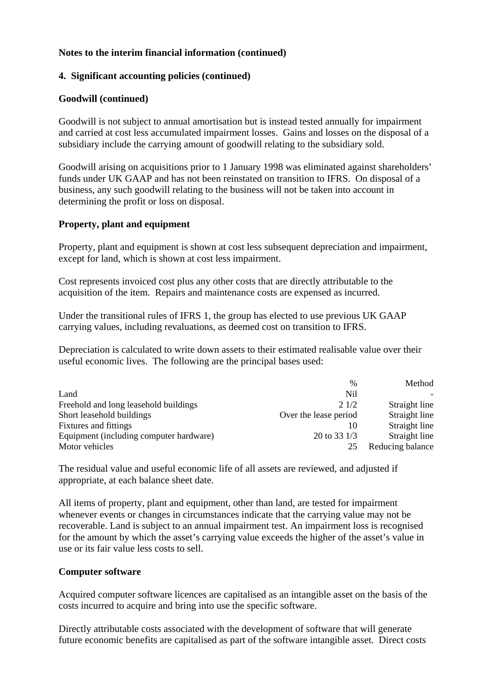#### **4. Significant accounting policies (continued)**

#### **Goodwill (continued)**

Goodwill is not subject to annual amortisation but is instead tested annually for impairment and carried at cost less accumulated impairment losses. Gains and losses on the disposal of a subsidiary include the carrying amount of goodwill relating to the subsidiary sold.

Goodwill arising on acquisitions prior to 1 January 1998 was eliminated against shareholders' funds under UK GAAP and has not been reinstated on transition to IFRS. On disposal of a business, any such goodwill relating to the business will not be taken into account in determining the profit or loss on disposal.

#### **Property, plant and equipment**

Property, plant and equipment is shown at cost less subsequent depreciation and impairment, except for land, which is shown at cost less impairment.

Cost represents invoiced cost plus any other costs that are directly attributable to the acquisition of the item. Repairs and maintenance costs are expensed as incurred.

Under the transitional rules of IFRS 1, the group has elected to use previous UK GAAP carrying values, including revaluations, as deemed cost on transition to IFRS.

Depreciation is calculated to write down assets to their estimated realisable value over their useful economic lives. The following are the principal bases used:

|                                         | $\frac{0}{0}$         | Method           |
|-----------------------------------------|-----------------------|------------------|
| Land                                    | Nil                   |                  |
| Freehold and long leasehold buildings   | 21/2                  | Straight line    |
| Short leasehold buildings               | Over the lease period | Straight line    |
| <b>Fixtures</b> and fittings            | 10                    | Straight line    |
| Equipment (including computer hardware) | 20 to 33 $1/3$        | Straight line    |
| Motor vehicles                          | 25                    | Reducing balance |

The residual value and useful economic life of all assets are reviewed, and adjusted if appropriate, at each balance sheet date.

All items of property, plant and equipment, other than land, are tested for impairment whenever events or changes in circumstances indicate that the carrying value may not be recoverable. Land is subject to an annual impairment test. An impairment loss is recognised for the amount by which the asset's carrying value exceeds the higher of the asset's value in use or its fair value less costs to sell.

#### **Computer software**

Acquired computer software licences are capitalised as an intangible asset on the basis of the costs incurred to acquire and bring into use the specific software.

Directly attributable costs associated with the development of software that will generate future economic benefits are capitalised as part of the software intangible asset. Direct costs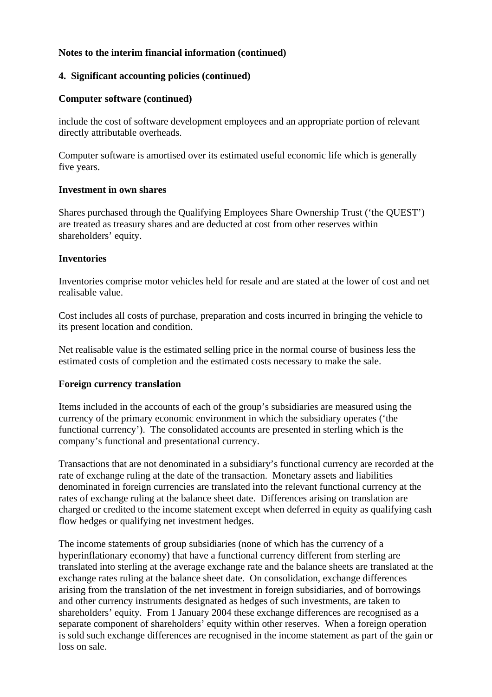#### **4. Significant accounting policies (continued)**

#### **Computer software (continued)**

include the cost of software development employees and an appropriate portion of relevant directly attributable overheads.

Computer software is amortised over its estimated useful economic life which is generally five years.

#### **Investment in own shares**

Shares purchased through the Qualifying Employees Share Ownership Trust ('the QUEST') are treated as treasury shares and are deducted at cost from other reserves within shareholders' equity.

#### **Inventories**

Inventories comprise motor vehicles held for resale and are stated at the lower of cost and net realisable value.

Cost includes all costs of purchase, preparation and costs incurred in bringing the vehicle to its present location and condition.

Net realisable value is the estimated selling price in the normal course of business less the estimated costs of completion and the estimated costs necessary to make the sale.

#### **Foreign currency translation**

Items included in the accounts of each of the group's subsidiaries are measured using the currency of the primary economic environment in which the subsidiary operates ('the functional currency'). The consolidated accounts are presented in sterling which is the company's functional and presentational currency.

Transactions that are not denominated in a subsidiary's functional currency are recorded at the rate of exchange ruling at the date of the transaction. Monetary assets and liabilities denominated in foreign currencies are translated into the relevant functional currency at the rates of exchange ruling at the balance sheet date. Differences arising on translation are charged or credited to the income statement except when deferred in equity as qualifying cash flow hedges or qualifying net investment hedges.

The income statements of group subsidiaries (none of which has the currency of a hyperinflationary economy) that have a functional currency different from sterling are translated into sterling at the average exchange rate and the balance sheets are translated at the exchange rates ruling at the balance sheet date. On consolidation, exchange differences arising from the translation of the net investment in foreign subsidiaries, and of borrowings and other currency instruments designated as hedges of such investments, are taken to shareholders' equity. From 1 January 2004 these exchange differences are recognised as a separate component of shareholders' equity within other reserves. When a foreign operation is sold such exchange differences are recognised in the income statement as part of the gain or loss on sale.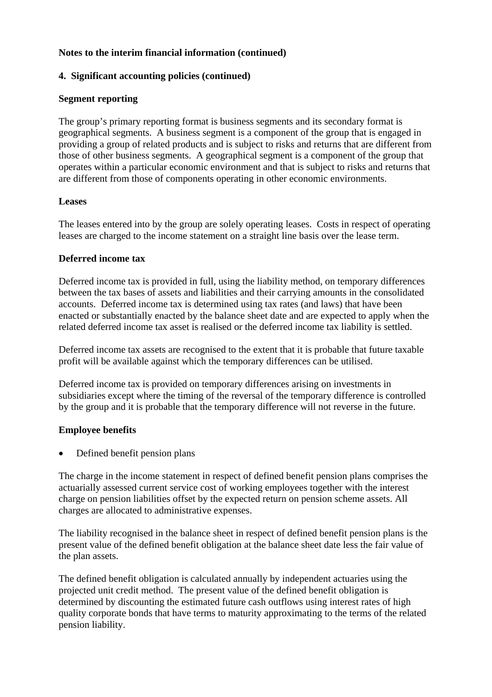#### **4. Significant accounting policies (continued)**

#### **Segment reporting**

The group's primary reporting format is business segments and its secondary format is geographical segments. A business segment is a component of the group that is engaged in providing a group of related products and is subject to risks and returns that are different from those of other business segments. A geographical segment is a component of the group that operates within a particular economic environment and that is subject to risks and returns that are different from those of components operating in other economic environments.

#### **Leases**

The leases entered into by the group are solely operating leases. Costs in respect of operating leases are charged to the income statement on a straight line basis over the lease term.

#### **Deferred income tax**

Deferred income tax is provided in full, using the liability method, on temporary differences between the tax bases of assets and liabilities and their carrying amounts in the consolidated accounts. Deferred income tax is determined using tax rates (and laws) that have been enacted or substantially enacted by the balance sheet date and are expected to apply when the related deferred income tax asset is realised or the deferred income tax liability is settled.

Deferred income tax assets are recognised to the extent that it is probable that future taxable profit will be available against which the temporary differences can be utilised.

Deferred income tax is provided on temporary differences arising on investments in subsidiaries except where the timing of the reversal of the temporary difference is controlled by the group and it is probable that the temporary difference will not reverse in the future.

#### **Employee benefits**

Defined benefit pension plans

The charge in the income statement in respect of defined benefit pension plans comprises the actuarially assessed current service cost of working employees together with the interest charge on pension liabilities offset by the expected return on pension scheme assets. All charges are allocated to administrative expenses.

The liability recognised in the balance sheet in respect of defined benefit pension plans is the present value of the defined benefit obligation at the balance sheet date less the fair value of the plan assets.

The defined benefit obligation is calculated annually by independent actuaries using the projected unit credit method. The present value of the defined benefit obligation is determined by discounting the estimated future cash outflows using interest rates of high quality corporate bonds that have terms to maturity approximating to the terms of the related pension liability.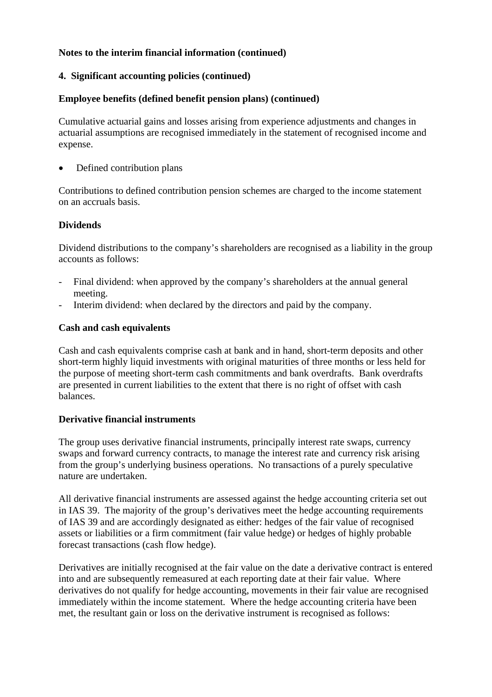# **4. Significant accounting policies (continued)**

## **Employee benefits (defined benefit pension plans) (continued)**

Cumulative actuarial gains and losses arising from experience adjustments and changes in actuarial assumptions are recognised immediately in the statement of recognised income and expense.

Defined contribution plans

Contributions to defined contribution pension schemes are charged to the income statement on an accruals basis.

# **Dividends**

Dividend distributions to the company's shareholders are recognised as a liability in the group accounts as follows:

- Final dividend: when approved by the company's shareholders at the annual general meeting.
- Interim dividend: when declared by the directors and paid by the company.

## **Cash and cash equivalents**

Cash and cash equivalents comprise cash at bank and in hand, short-term deposits and other short-term highly liquid investments with original maturities of three months or less held for the purpose of meeting short-term cash commitments and bank overdrafts. Bank overdrafts are presented in current liabilities to the extent that there is no right of offset with cash balances.

## **Derivative financial instruments**

The group uses derivative financial instruments, principally interest rate swaps, currency swaps and forward currency contracts, to manage the interest rate and currency risk arising from the group's underlying business operations. No transactions of a purely speculative nature are undertaken.

All derivative financial instruments are assessed against the hedge accounting criteria set out in IAS 39. The majority of the group's derivatives meet the hedge accounting requirements of IAS 39 and are accordingly designated as either: hedges of the fair value of recognised assets or liabilities or a firm commitment (fair value hedge) or hedges of highly probable forecast transactions (cash flow hedge).

Derivatives are initially recognised at the fair value on the date a derivative contract is entered into and are subsequently remeasured at each reporting date at their fair value. Where derivatives do not qualify for hedge accounting, movements in their fair value are recognised immediately within the income statement. Where the hedge accounting criteria have been met, the resultant gain or loss on the derivative instrument is recognised as follows: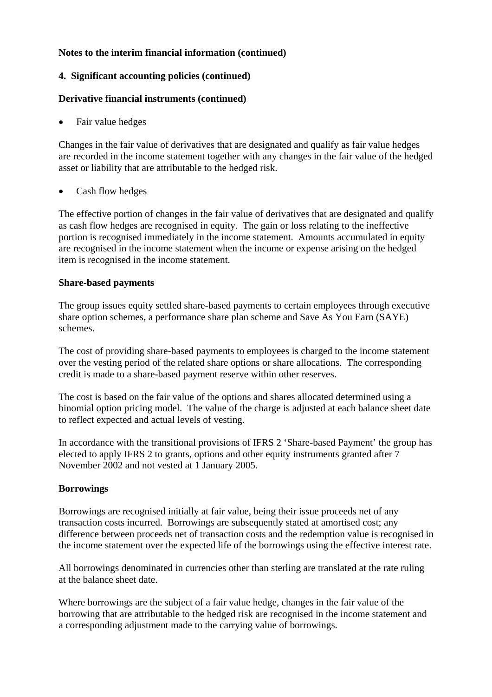### **4. Significant accounting policies (continued)**

#### **Derivative financial instruments (continued)**

• Fair value hedges

Changes in the fair value of derivatives that are designated and qualify as fair value hedges are recorded in the income statement together with any changes in the fair value of the hedged asset or liability that are attributable to the hedged risk.

• Cash flow hedges

The effective portion of changes in the fair value of derivatives that are designated and qualify as cash flow hedges are recognised in equity. The gain or loss relating to the ineffective portion is recognised immediately in the income statement. Amounts accumulated in equity are recognised in the income statement when the income or expense arising on the hedged item is recognised in the income statement.

#### **Share-based payments**

The group issues equity settled share-based payments to certain employees through executive share option schemes, a performance share plan scheme and Save As You Earn (SAYE) schemes.

The cost of providing share-based payments to employees is charged to the income statement over the vesting period of the related share options or share allocations. The corresponding credit is made to a share-based payment reserve within other reserves.

The cost is based on the fair value of the options and shares allocated determined using a binomial option pricing model. The value of the charge is adjusted at each balance sheet date to reflect expected and actual levels of vesting.

In accordance with the transitional provisions of IFRS 2 'Share-based Payment' the group has elected to apply IFRS 2 to grants, options and other equity instruments granted after 7 November 2002 and not vested at 1 January 2005.

#### **Borrowings**

Borrowings are recognised initially at fair value, being their issue proceeds net of any transaction costs incurred. Borrowings are subsequently stated at amortised cost; any difference between proceeds net of transaction costs and the redemption value is recognised in the income statement over the expected life of the borrowings using the effective interest rate.

All borrowings denominated in currencies other than sterling are translated at the rate ruling at the balance sheet date.

Where borrowings are the subject of a fair value hedge, changes in the fair value of the borrowing that are attributable to the hedged risk are recognised in the income statement and a corresponding adjustment made to the carrying value of borrowings.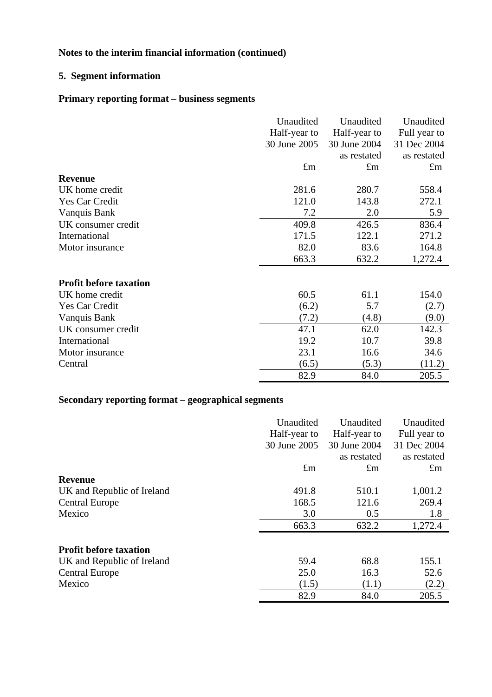# **5. Segment information**

# **Primary reporting format – business segments**

|                               | Unaudited    | Unaudited    | Unaudited    |
|-------------------------------|--------------|--------------|--------------|
|                               | Half-year to | Half-year to | Full year to |
|                               | 30 June 2005 | 30 June 2004 | 31 Dec 2004  |
|                               |              | as restated  | as restated  |
|                               | $\pounds$ m  | $\pounds$ m  | $\pounds$ m  |
| <b>Revenue</b>                |              |              |              |
| UK home credit                | 281.6        | 280.7        | 558.4        |
| Yes Car Credit                | 121.0        | 143.8        | 272.1        |
| Vanquis Bank                  | 7.2          | 2.0          | 5.9          |
| UK consumer credit            | 409.8        | 426.5        | 836.4        |
| International                 | 171.5        | 122.1        | 271.2        |
| Motor insurance               | 82.0         | 83.6         | 164.8        |
|                               | 663.3        | 632.2        | 1,272.4      |
| <b>Profit before taxation</b> |              |              |              |
| UK home credit                | 60.5         | 61.1         | 154.0        |
| Yes Car Credit                | (6.2)        | 5.7          | (2.7)        |
|                               |              |              |              |
| Vanquis Bank                  | (7.2)        | (4.8)        | (9.0)        |
| UK consumer credit            | 47.1         | 62.0         | 142.3        |
| International                 | 19.2         | 10.7         | 39.8         |
| Motor insurance               | 23.1         | 16.6         | 34.6         |
| Central                       | (6.5)        | (5.3)        | (11.2)       |
|                               | 82.9         | 84.0         | 205.5        |

# **Secondary reporting format – geographical segments**

|                               | Unaudited    | Unaudited    | Unaudited    |
|-------------------------------|--------------|--------------|--------------|
|                               | Half-year to | Half-year to | Full year to |
|                               | 30 June 2005 | 30 June 2004 | 31 Dec 2004  |
|                               |              | as restated  | as restated  |
|                               | $\pounds$ m  | $\pounds$ m  | $\pounds$ m  |
| <b>Revenue</b>                |              |              |              |
| UK and Republic of Ireland    | 491.8        | 510.1        | 1,001.2      |
| <b>Central Europe</b>         | 168.5        | 121.6        | 269.4        |
| Mexico                        | 3.0          | 0.5          | 1.8          |
|                               | 663.3        | 632.2        | 1,272.4      |
| <b>Profit before taxation</b> |              |              |              |
| UK and Republic of Ireland    | 59.4         | 68.8         | 155.1        |
| <b>Central Europe</b>         | 25.0         | 16.3         | 52.6         |
| Mexico                        | (1.5)        | (1.1)        | (2.2)        |
|                               | 82.9         | 84.0         | 205.5        |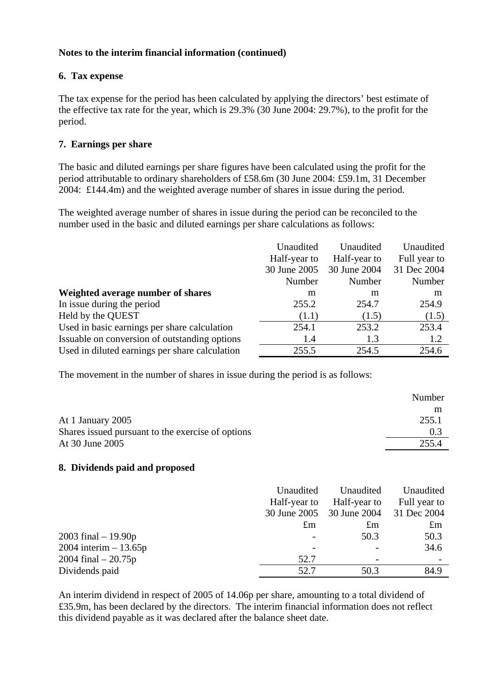### **6. Tax expense**

The tax expense for the period has been calculated by applying the directors' best estimate of the effective tax rate for the year, which is 29.3% (30 June 2004: 29.7%), to the profit for the period.

## **7. Earnings per share**

The basic and diluted earnings per share figures have been calculated using the profit for the period attributable to ordinary shareholders of £58.6m (30 June 2004: £59.1m, 31 December 2004: £144.4m) and the weighted average number of shares in issue during the period.

The weighted average number of shares in issue during the period can be reconciled to the number used in the basic and diluted earnings per share calculations as follows:

|                                                | Unaudited    | Unaudited    | Unaudited    |
|------------------------------------------------|--------------|--------------|--------------|
|                                                | Half-year to | Half-year to | Full year to |
|                                                | 30 June 2005 | 30 June 2004 | 31 Dec 2004  |
|                                                | Number       | Number       | Number       |
| Weighted average number of shares              | m            | m            | m            |
| In issue during the period                     | 255.2        | 254.7        | 254.9        |
| Held by the QUEST                              | (1.1)        | (1.5)        | (1.5)        |
| Used in basic earnings per share calculation   | 254.1        | 253.2        | 253.4        |
| Issuable on conversion of outstanding options  | 1.4          | 1.3          | 1.2          |
| Used in diluted earnings per share calculation | 255.5        | 254.5        | 254.6        |

The movement in the number of shares in issue during the period is as follows:

|                                                   | Number |
|---------------------------------------------------|--------|
|                                                   | m      |
| At 1 January 2005                                 | 255.1  |
| Shares issued pursuant to the exercise of options | 0.3    |
| At 30 June 2005                                   | 255.4  |

#### **8. Dividends paid and proposed**

|                          | Unaudited<br>Half-year to | Unaudited<br>Half-year to | Unaudited<br>Full year to |
|--------------------------|---------------------------|---------------------------|---------------------------|
|                          | 30 June 2005              | 30 June 2004              | 31 Dec 2004               |
|                          | $\mathfrak{m}$            | $\pounds$ m               | $\pounds$ m               |
| 2003 final $-19.90p$     |                           | 50.3                      | 50.3                      |
| $2004$ interim $-13.65p$ |                           |                           | 34.6                      |
| 2004 final $-20.75p$     | 52.7                      |                           |                           |
| Dividends paid           | 52.7                      | 50.3                      | 84.9                      |

An interim dividend in respect of 2005 of 14.06p per share, amounting to a total dividend of £35.9m, has been declared by the directors. The interim financial information does not reflect this dividend payable as it was declared after the balance sheet date.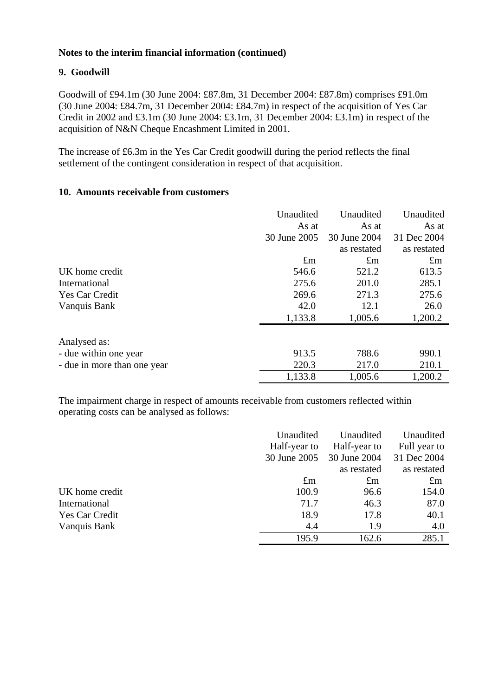#### **9. Goodwill**

Goodwill of £94.1m (30 June 2004: £87.8m, 31 December 2004: £87.8m) comprises £91.0m (30 June 2004: £84.7m, 31 December 2004: £84.7m) in respect of the acquisition of Yes Car Credit in 2002 and £3.1m (30 June 2004: £3.1m, 31 December 2004: £3.1m) in respect of the acquisition of N&N Cheque Encashment Limited in 2001.

The increase of £6.3m in the Yes Car Credit goodwill during the period reflects the final settlement of the contingent consideration in respect of that acquisition.

#### **10. Amounts receivable from customers**

|                             | Unaudited    | Unaudited    | Unaudited   |
|-----------------------------|--------------|--------------|-------------|
|                             | As at        | As at        | As at       |
|                             | 30 June 2005 | 30 June 2004 | 31 Dec 2004 |
|                             |              | as restated  | as restated |
|                             | $\pounds$ m  | $\pounds$ m  | $\pounds$ m |
| UK home credit              | 546.6        | 521.2        | 613.5       |
| International               | 275.6        | 201.0        | 285.1       |
| <b>Yes Car Credit</b>       | 269.6        | 271.3        | 275.6       |
| Vanquis Bank                | 42.0         | 12.1         | 26.0        |
|                             | 1,133.8      | 1,005.6      | 1,200.2     |
| Analysed as:                |              |              |             |
| - due within one year       | 913.5        | 788.6        | 990.1       |
| - due in more than one year | 220.3        | 217.0        | 210.1       |
|                             | 1,133.8      | 1,005.6      | 1,200.2     |

The impairment charge in respect of amounts receivable from customers reflected within operating costs can be analysed as follows:

|                | Unaudited    | Unaudited    | Unaudited    |
|----------------|--------------|--------------|--------------|
|                | Half-year to | Half-year to | Full year to |
|                | 30 June 2005 | 30 June 2004 | 31 Dec 2004  |
|                |              | as restated  | as restated  |
|                | $\pounds$ m  | $\pounds$ m  | $\pounds$ m  |
| UK home credit | 100.9        | 96.6         | 154.0        |
| International  | 71.7         | 46.3         | 87.0         |
| Yes Car Credit | 18.9         | 17.8         | 40.1         |
| Vanquis Bank   | 4.4          | 1.9          | 4.0          |
|                | 195.9        | 162.6        | 285.1        |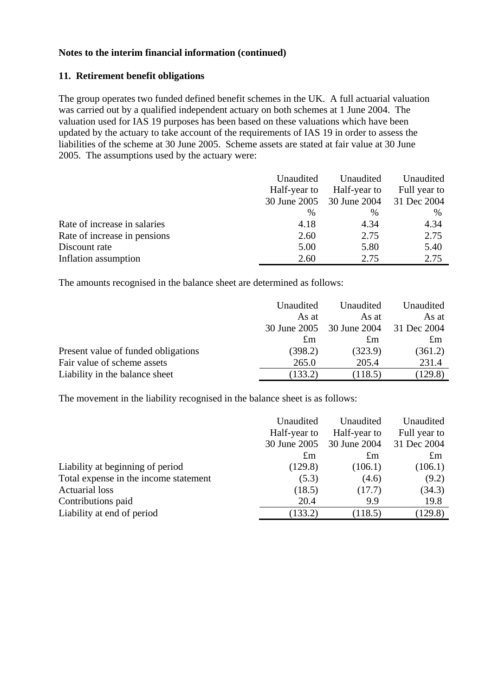#### **11. Retirement benefit obligations**

The group operates two funded defined benefit schemes in the UK. A full actuarial valuation was carried out by a qualified independent actuary on both schemes at 1 June 2004. The valuation used for IAS 19 purposes has been based on these valuations which have been updated by the actuary to take account of the requirements of IAS 19 in order to assess the liabilities of the scheme at 30 June 2005. Scheme assets are stated at fair value at 30 June 2005. The assumptions used by the actuary were:

|                              | Unaudited<br>Half-year to | Unaudited<br>Half-year to | Unaudited<br>Full year to |
|------------------------------|---------------------------|---------------------------|---------------------------|
|                              | 30 June 2005              | 30 June 2004              | 31 Dec 2004               |
|                              | $\frac{0}{0}$             | $\frac{0}{0}$             | $\%$                      |
| Rate of increase in salaries | 4.18                      | 4.34                      | 4.34                      |
| Rate of increase in pensions | 2.60                      | 2.75                      | 2.75                      |
| Discount rate                | 5.00                      | 5.80                      | 5.40                      |
| Inflation assumption         | 2.60                      | 2.75                      | 2.75                      |

The amounts recognised in the balance sheet are determined as follows:

|                                     | Unaudited    | Unaudited    | Unaudited   |
|-------------------------------------|--------------|--------------|-------------|
|                                     | As at        | As at        | As at       |
|                                     | 30 June 2005 | 30 June 2004 | 31 Dec 2004 |
|                                     | $\pounds$ m  | £m           | $\pounds$ m |
| Present value of funded obligations | (398.2)      | (323.9)      | (361.2)     |
| Fair value of scheme assets         | 265.0        | 205.4        | 231.4       |
| Liability in the balance sheet      | (133.2)      | (118.5)      | (129.8)     |

The movement in the liability recognised in the balance sheet is as follows:

|                                       | Unaudited    | Unaudited    | Unaudited      |
|---------------------------------------|--------------|--------------|----------------|
|                                       | Half-year to | Half-year to | Full year to   |
|                                       | 30 June 2005 | 30 June 2004 | 31 Dec 2004    |
|                                       | $\pounds$ m  | $\pounds$ m  | $\mathfrak{m}$ |
| Liability at beginning of period      | (129.8)      | (106.1)      | (106.1)        |
| Total expense in the income statement | (5.3)        | (4.6)        | (9.2)          |
| <b>Actuarial loss</b>                 | (18.5)       | (17.7)       | (34.3)         |
| Contributions paid                    | 20.4         | 9.9          | 19.8           |
| Liability at end of period            | (133.2)      | (118.5)      | (129.8)        |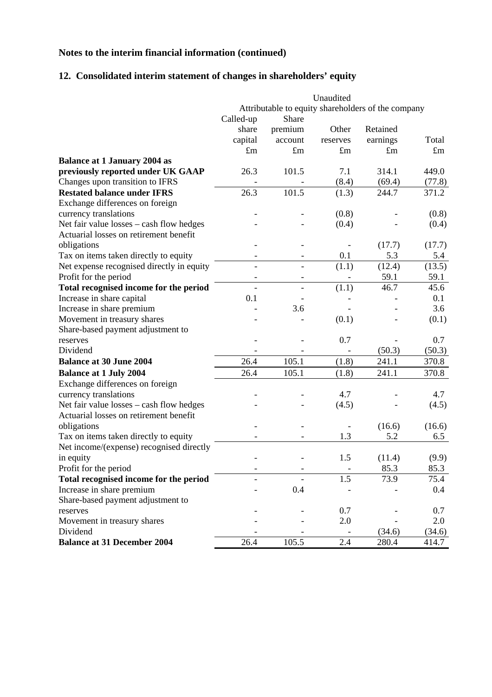# **12. Consolidated interim statement of changes in shareholders' equity**

|                                           |                          |                          | Unaudited   |                                                    |             |
|-------------------------------------------|--------------------------|--------------------------|-------------|----------------------------------------------------|-------------|
|                                           |                          |                          |             | Attributable to equity shareholders of the company |             |
|                                           | Called-up                | Share                    |             |                                                    |             |
|                                           | share                    | premium                  | Other       | Retained                                           |             |
|                                           | capital                  | account                  | reserves    | earnings                                           | Total       |
|                                           | $\pounds$ m              | $\pounds$ m              | $\pounds$ m | $\pounds$ m                                        | $\pounds$ m |
| <b>Balance at 1 January 2004 as</b>       |                          |                          |             |                                                    |             |
| previously reported under UK GAAP         | 26.3                     | 101.5                    | 7.1         | 314.1                                              | 449.0       |
| Changes upon transition to IFRS           |                          |                          | (8.4)       | (69.4)                                             | (77.8)      |
| <b>Restated balance under IFRS</b>        | 26.3                     | 101.5                    | (1.3)       | 244.7                                              | 371.2       |
| Exchange differences on foreign           |                          |                          |             |                                                    |             |
| currency translations                     |                          |                          | (0.8)       |                                                    | (0.8)       |
| Net fair value losses - cash flow hedges  |                          |                          | (0.4)       |                                                    | (0.4)       |
| Actuarial losses on retirement benefit    |                          |                          |             |                                                    |             |
| obligations                               |                          |                          |             | (17.7)                                             | (17.7)      |
| Tax on items taken directly to equity     |                          |                          | 0.1         | 5.3                                                | 5.4         |
| Net expense recognised directly in equity |                          | $\overline{a}$           | (1.1)       | (12.4)                                             | (13.5)      |
| Profit for the period                     | -                        | -                        |             | 59.1                                               | 59.1        |
| Total recognised income for the period    | $\overline{\phantom{a}}$ | $\overline{\phantom{a}}$ | (1.1)       | 46.7                                               | 45.6        |
| Increase in share capital                 | 0.1                      |                          |             |                                                    | 0.1         |
| Increase in share premium                 |                          | 3.6                      |             |                                                    | 3.6         |
| Movement in treasury shares               |                          |                          | (0.1)       |                                                    | (0.1)       |
| Share-based payment adjustment to         |                          |                          |             |                                                    |             |
| reserves                                  |                          |                          | 0.7         |                                                    | 0.7         |
| Dividend                                  |                          |                          |             | (50.3)                                             | (50.3)      |
| <b>Balance at 30 June 2004</b>            | 26.4                     | 105.1                    | (1.8)       | 241.1                                              | 370.8       |
| <b>Balance at 1 July 2004</b>             | 26.4                     | 105.1                    | (1.8)       | 241.1                                              | 370.8       |
| Exchange differences on foreign           |                          |                          |             |                                                    |             |
| currency translations                     |                          |                          | 4.7         |                                                    | 4.7         |
| Net fair value losses - cash flow hedges  |                          |                          | (4.5)       |                                                    | (4.5)       |
| Actuarial losses on retirement benefit    |                          |                          |             |                                                    |             |
| obligations                               |                          |                          |             | (16.6)                                             | (16.6)      |
| Tax on items taken directly to equity     |                          |                          | 1.3         | 5.2                                                | 6.5         |
| Net income/(expense) recognised directly  |                          |                          |             |                                                    |             |
| in equity                                 |                          |                          | 1.5         | (11.4)                                             | (9.9)       |
| Profit for the period                     |                          |                          |             | 85.3                                               | 85.3        |
| Total recognised income for the period    |                          |                          | 1.5         | 73.9                                               | 75.4        |
| Increase in share premium                 |                          | 0.4                      |             |                                                    | 0.4         |
| Share-based payment adjustment to         |                          |                          |             |                                                    |             |
| reserves                                  |                          |                          | 0.7         |                                                    | 0.7         |
| Movement in treasury shares               |                          |                          | 2.0         |                                                    | 2.0         |
| Dividend                                  |                          |                          |             | (34.6)                                             | (34.6)      |
| <b>Balance at 31 December 2004</b>        | 26.4                     | 105.5                    | 2.4         | 280.4                                              | 414.7       |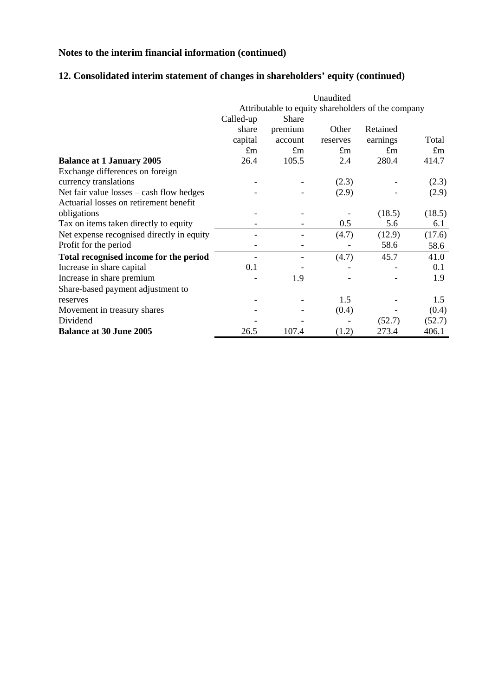# **12. Consolidated interim statement of changes in shareholders' equity (continued)**

|                                            | Unaudited                                          |              |             |             |             |  |  |  |
|--------------------------------------------|----------------------------------------------------|--------------|-------------|-------------|-------------|--|--|--|
|                                            | Attributable to equity shareholders of the company |              |             |             |             |  |  |  |
|                                            | Called-up                                          | <b>Share</b> |             |             |             |  |  |  |
|                                            | share                                              | premium      | Other       | Retained    |             |  |  |  |
|                                            | capital                                            | account      | reserves    | earnings    | Total       |  |  |  |
|                                            | $\pounds$ m                                        | $\pounds$ m  | $\pounds$ m | $\pounds$ m | $\pounds$ m |  |  |  |
| <b>Balance at 1 January 2005</b>           | 26.4                                               | 105.5        | 2.4         | 280.4       | 414.7       |  |  |  |
| Exchange differences on foreign            |                                                    |              |             |             |             |  |  |  |
| currency translations                      |                                                    |              | (2.3)       |             | (2.3)       |  |  |  |
| Net fair value $losses - cash flow$ hedges |                                                    |              | (2.9)       |             | (2.9)       |  |  |  |
| Actuarial losses on retirement benefit     |                                                    |              |             |             |             |  |  |  |
| obligations                                |                                                    |              |             | (18.5)      | (18.5)      |  |  |  |
| Tax on items taken directly to equity      |                                                    |              | 0.5         | 5.6         | 6.1         |  |  |  |
| Net expense recognised directly in equity  |                                                    |              | (4.7)       | (12.9)      | (17.6)      |  |  |  |
| Profit for the period                      |                                                    |              |             | 58.6        | 58.6        |  |  |  |
| Total recognised income for the period     |                                                    |              | (4.7)       | 45.7        | 41.0        |  |  |  |
| Increase in share capital                  | 0.1                                                |              |             |             | 0.1         |  |  |  |
| Increase in share premium                  |                                                    | 1.9          |             |             | 1.9         |  |  |  |
| Share-based payment adjustment to          |                                                    |              |             |             |             |  |  |  |
| reserves                                   |                                                    |              | 1.5         |             | 1.5         |  |  |  |
| Movement in treasury shares                |                                                    |              | (0.4)       |             | (0.4)       |  |  |  |
| Dividend                                   |                                                    |              |             | (52.7)      | (52.7)      |  |  |  |
| <b>Balance at 30 June 2005</b>             | 26.5                                               | 107.4        | (1.2)       | 273.4       | 406.1       |  |  |  |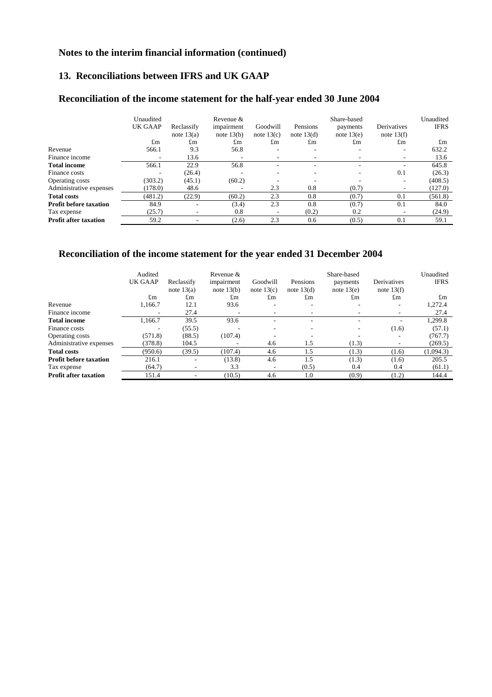#### **13. Reconciliations between IFRS and UK GAAP**

# **Reconciliation of the income statement for the half-year ended 30 June 2004**

|                               | Unaudited<br>UK GAAP | Reclassify<br>note $13(a)$ | Revenue &<br>impairment<br>note $13(b)$ | Goodwill<br>note $13(c)$ | Pensions<br>note $13(d)$ | Share-based<br>payments<br>note $13(e)$ | Derivatives<br>note $13(f)$ | Unaudited<br><b>IFRS</b> |
|-------------------------------|----------------------|----------------------------|-----------------------------------------|--------------------------|--------------------------|-----------------------------------------|-----------------------------|--------------------------|
|                               | $\pounds$ m          | $\pounds$ m                | $\pounds$ m                             | $\pounds$ m              | $\pounds$ m              | $\pounds$ m                             | $\pounds$ m                 | $\pounds$ m              |
| Revenue                       | 566.1                | 9.3                        | 56.8                                    | $\overline{\phantom{a}}$ | $\overline{\phantom{a}}$ |                                         | ۰                           | 632.2                    |
| Finance income                |                      | 13.6                       | $\overline{\phantom{0}}$                | $\overline{\phantom{a}}$ | ٠                        | $\overline{\phantom{a}}$                |                             | 13.6                     |
| <b>Total income</b>           | 566.1                | 22.9                       | 56.8                                    |                          | ٠                        |                                         |                             | 645.8                    |
| Finance costs                 |                      | (26.4)                     | -                                       | $\overline{\phantom{a}}$ | ۰                        |                                         | 0.1                         | (26.3)                   |
| Operating costs               | (303.2)              | (45.1)                     | (60.2)                                  |                          | ٠                        |                                         |                             | (408.5)                  |
| Administrative expenses       | (178.0)              | 48.6                       |                                         | 2.3                      | 0.8                      | (0.7)                                   |                             | (127.0)                  |
| <b>Total costs</b>            | (481.2)              | (22.9)                     | (60.2)                                  | 2.3                      | 0.8                      | (0.7)                                   | 0.1                         | (561.8)                  |
| <b>Profit before taxation</b> | 84.9                 |                            | (3.4)                                   | 2.3                      | 0.8                      | (0.7)                                   | 0.1                         | 84.0                     |
| Tax expense                   | (25.7)               |                            | 0.8                                     | $\overline{\phantom{a}}$ | (0.2)                    | 0.2                                     |                             | (24.9)                   |
| <b>Profit after taxation</b>  | 59.2                 |                            | (2.6)                                   | 2.3                      | 0.6                      | (0.5)                                   | 0.1                         | 59.1                     |

# **Reconciliation of the income statement for the year ended 31 December 2004**

|                               | Audited<br>UK GAAP | Reclassify<br>note $13(a)$ | Revenue &<br>impairment<br>note $13(b)$ | Goodwill<br>note $13(c)$ | Pensions<br>note $13(d)$ | Share-based<br>payments<br>note $13(e)$ | Derivatives<br>note $13(f)$ | Unaudited<br><b>IFRS</b> |
|-------------------------------|--------------------|----------------------------|-----------------------------------------|--------------------------|--------------------------|-----------------------------------------|-----------------------------|--------------------------|
|                               | $\pounds$ m        | $\pounds$ m                | $\pounds$ m                             | $\pounds$ m              | $\pounds$ m              | $\pounds$ m                             | $\pounds$ m                 | $\pounds$ m              |
| Revenue                       | 1.166.7            | 12.1                       | 93.6                                    |                          |                          | $\overline{\phantom{a}}$                | ٠                           | 1,272.4                  |
| Finance income                |                    | 27.4                       |                                         |                          |                          |                                         |                             | 27.4                     |
| <b>Total income</b>           | 1,166.7            | 39.5                       | 93.6                                    |                          |                          |                                         |                             | 1,299.8                  |
| Finance costs                 | ۰                  | (55.5)                     |                                         |                          |                          | ۰                                       | (1.6)                       | (57.1)                   |
| Operating costs               | (571.8)            | (88.5)                     | (107.4)                                 |                          |                          |                                         |                             | (767.7)                  |
| Administrative expenses       | (378.8)            | 104.5                      |                                         | 4.6                      | 1.5                      | (1.3)                                   |                             | (269.5)                  |
| <b>Total costs</b>            | (950.6)            | (39.5)                     | (107.4)                                 | 4.6                      | 1.5                      | (1.3)                                   | (1.6)                       | (1,094.3)                |
| <b>Profit before taxation</b> | 216.1              |                            | (13.8)                                  | 4.6                      | 1.5                      | (1.3)                                   | (1.6)                       | 205.5                    |
| Tax expense                   | (64.7)             | $\overline{\phantom{0}}$   | 3.3                                     |                          | (0.5)                    | 0.4                                     | 0.4                         | (61.1)                   |
| <b>Profit after taxation</b>  | 151.4              |                            | (10.5)                                  | 4.6                      | 1.0                      | (0.9)                                   | (1.2)                       | 144.4                    |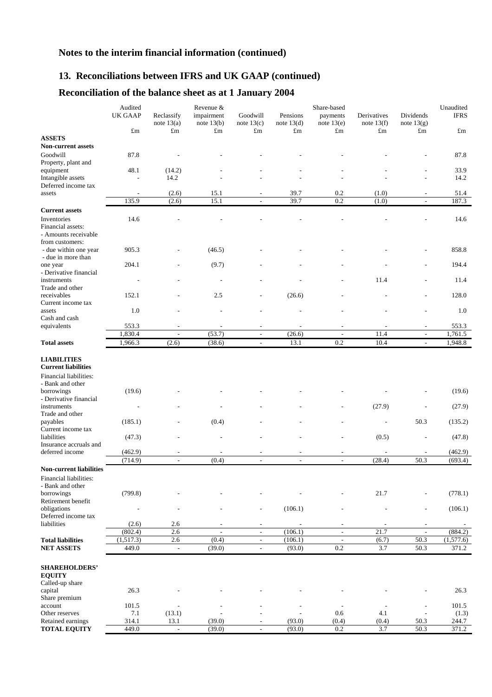# **13. Reconciliations between IFRS and UK GAAP (continued)**

# **Reconciliation of the balance sheet as at 1 January 2004**

|                                                                                                | Audited<br>Share-based<br>Revenue & |                            |                            |                          |                          |                          |                             |                           |               |
|------------------------------------------------------------------------------------------------|-------------------------------------|----------------------------|----------------------------|--------------------------|--------------------------|--------------------------|-----------------------------|---------------------------|---------------|
|                                                                                                | UK GAAP                             | Reclassify<br>note $13(a)$ | impairment<br>note $13(b)$ | Goodwill<br>note $13(c)$ | Pensions<br>note $13(d)$ | payments<br>note $13(e)$ | Derivatives<br>note $13(f)$ | Dividends<br>note $13(g)$ | <b>IFRS</b>   |
|                                                                                                | $\pounds$ m                         | $\pounds$ m                | $\pounds$ m                | $\pounds$ m              | $\pounds$ m              | $\pounds$ m              | $\pounds$ m                 | $\pounds$ m               | $\pounds$ m   |
| <b>ASSETS</b><br><b>Non-current assets</b>                                                     |                                     |                            |                            |                          |                          |                          |                             |                           |               |
| Goodwill<br>Property, plant and                                                                | 87.8                                |                            |                            |                          |                          |                          |                             |                           | 87.8          |
| equipment<br>Intangible assets                                                                 | 48.1<br>$\overline{a}$              | (14.2)<br>14.2             |                            |                          |                          |                          |                             |                           | 33.9<br>14.2  |
| Deferred income tax                                                                            |                                     |                            |                            |                          |                          |                          |                             |                           |               |
| assets                                                                                         | $\overline{\phantom{a}}$<br>135.9   | (2.6)<br>(2.6)             | 15.1<br>15.1               | $\overline{a}$<br>L.     | 39.7<br>39.7             | 0.2<br>0.2               | (1.0)<br>(1.0)              |                           | 51.4<br>187.3 |
| <b>Current assets</b>                                                                          |                                     |                            |                            |                          |                          |                          |                             |                           |               |
| Inventories                                                                                    | 14.6                                |                            |                            |                          |                          |                          |                             |                           | 14.6          |
| Financial assets:<br>- Amounts receivable<br>from customers:                                   |                                     |                            |                            |                          |                          |                          |                             |                           |               |
| - due within one year<br>- due in more than                                                    | 905.3                               |                            | (46.5)                     |                          |                          |                          |                             |                           | 858.8         |
| one year<br>- Derivative financial                                                             | 204.1                               |                            | (9.7)                      |                          |                          |                          |                             |                           | 194.4         |
| instruments<br>Trade and other                                                                 |                                     |                            | $\overline{a}$             |                          |                          |                          | 11.4                        |                           | 11.4          |
| receivables<br>Current income tax                                                              | 152.1                               |                            | 2.5                        |                          | (26.6)                   |                          |                             |                           | 128.0         |
| assets<br>Cash and cash                                                                        | 1.0                                 |                            |                            |                          |                          |                          |                             |                           | 1.0           |
| equivalents                                                                                    | 553.3                               |                            |                            |                          |                          |                          |                             |                           | 553.3         |
|                                                                                                | 1,830.4                             | L,                         | (53.7)                     | $\overline{\phantom{a}}$ | (26.6)                   | L,                       | 11.4                        | $\overline{a}$            | 1,761.5       |
| <b>Total assets</b>                                                                            | 1,966.3                             | (2.6)                      | (38.6)                     | $\blacksquare$           | 13.1                     | 0.2                      | 10.4                        | $\overline{\phantom{a}}$  | 1,948.8       |
| <b>LIABILITIES</b><br><b>Current liabilities</b><br>Financial liabilities:<br>- Bank and other |                                     |                            |                            |                          |                          |                          |                             |                           |               |
| borrowings<br>- Derivative financial                                                           | (19.6)                              |                            |                            |                          |                          |                          |                             |                           | (19.6)        |
| instruments<br>Trade and other                                                                 | $\overline{a}$                      |                            |                            |                          |                          |                          | (27.9)                      |                           | (27.9)        |
| payables<br>Current income tax                                                                 | (185.1)                             |                            | (0.4)                      |                          |                          |                          | $\overline{\phantom{a}}$    | 50.3                      | (135.2)       |
| liabilities<br>Insurance accruals and                                                          | (47.3)                              |                            |                            |                          |                          |                          | (0.5)                       | $\overline{a}$            | (47.8)        |
| deferred income                                                                                | (462.9)                             | $\overline{\phantom{a}}$   |                            | $\overline{a}$           | $\overline{a}$           | $\overline{\phantom{a}}$ | $\overline{a}$              |                           | (462.9)       |
| <b>Non-current liabilities</b>                                                                 | (714.9)                             | $\overline{\phantom{a}}$   | (0.4)                      | $\overline{\phantom{a}}$ | $\overline{\phantom{a}}$ | $\overline{\phantom{a}}$ | (28.4)                      | 50.3                      | (693.4)       |
| Financial liabilities:<br>- Bank and other                                                     |                                     |                            |                            |                          |                          |                          |                             |                           |               |
| borrowings<br>Retirement benefit                                                               | (799.8)                             |                            |                            |                          |                          |                          | 21.7                        |                           | (778.1)       |
| obligations<br>Deferred income tax                                                             | $\overline{a}$                      | $\overline{a}$             |                            | $\overline{\phantom{a}}$ | (106.1)                  | $\overline{\phantom{a}}$ | $\overline{\phantom{a}}$    | $\overline{\phantom{a}}$  | (106.1)       |
| liabilities                                                                                    | (2.6)                               | 2.6                        |                            |                          |                          |                          |                             |                           |               |
|                                                                                                | (802.4)                             | 2.6                        | $\overline{\phantom{a}}$   | $\overline{\phantom{a}}$ | (106.1)                  | $\overline{\phantom{a}}$ | 21.7                        | $\overline{\phantom{a}}$  | (884.2)       |
| <b>Total liabilities</b>                                                                       | (1,517.3)                           | $2.6\,$                    | (0.4)                      | $\overline{\phantom{a}}$ | (106.1)                  | $\Box$                   | (6.7)                       | 50.3                      | (1,577.6)     |
| <b>NET ASSETS</b>                                                                              | 449.0                               | $\overline{\phantom{a}}$   | (39.0)                     | $\overline{\phantom{a}}$ | (93.0)                   | 0.2                      | 3.7                         | 50.3                      | 371.2         |
| SHAREHOLDERS'<br><b>EQUITY</b>                                                                 |                                     |                            |                            |                          |                          |                          |                             |                           |               |
| Called-up share<br>capital                                                                     | 26.3                                |                            |                            |                          |                          |                          |                             |                           | 26.3          |
| Share premium<br>account                                                                       | 101.5                               | $\overline{\phantom{a}}$   |                            |                          | $\overline{a}$           | $\overline{\phantom{a}}$ | $\overline{\phantom{a}}$    |                           | 101.5         |
| Other reserves                                                                                 | 7.1                                 | (13.1)                     |                            |                          | $\overline{a}$           | 0.6                      | 4.1                         |                           | (1.3)         |
| Retained earnings                                                                              | 314.1                               | 13.1                       | (39.0)                     | $\overline{\phantom{a}}$ | (93.0)                   | (0.4)                    | (0.4)                       | 50.3                      | 244.7         |
| <b>TOTAL EQUITY</b>                                                                            | 449.0                               | $\overline{\phantom{a}}$   | (39.0)                     | $\overline{\phantom{a}}$ | (93.0)                   | 0.2                      | 3.7                         | 50.3                      | 371.2         |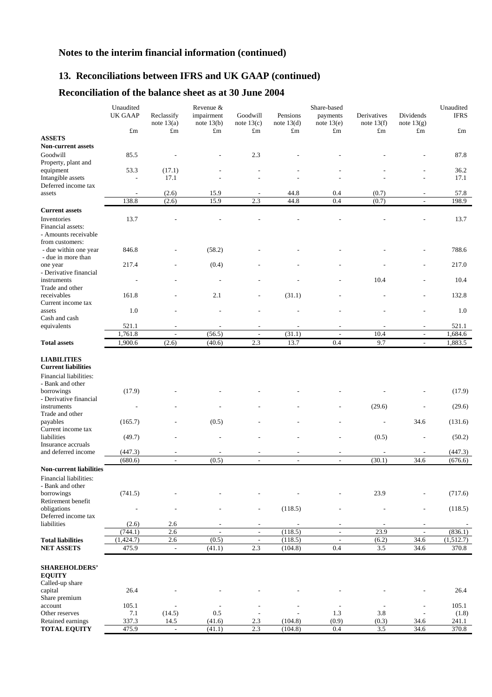# **13. Reconciliations between IFRS and UK GAAP (continued)**

# **Reconciliation of the balance sheet as at 30 June 2004**

|                                               | Unaudited                        |                            | Revenue &                  |                                 |                          | Share-based                     |                             |                           | Unaudited          |
|-----------------------------------------------|----------------------------------|----------------------------|----------------------------|---------------------------------|--------------------------|---------------------------------|-----------------------------|---------------------------|--------------------|
|                                               | <b>UK GAAP</b>                   | Reclassify<br>note $13(a)$ | impairment<br>note $13(b)$ | Goodwill<br>note $13(c)$        | Pensions<br>note $13(d)$ | payments<br>note $13(e)$        | Derivatives<br>note $13(f)$ | Dividends<br>note $13(g)$ | <b>IFRS</b>        |
|                                               | $\pounds$ m                      | $\pounds$ m                | $\pounds$ m                | $\pounds$ m                     | $\pounds$ m              | $\pounds$ m                     | $\pounds$ m                 | $\pounds$ m               | $\pounds$ m        |
| <b>ASSETS</b>                                 |                                  |                            |                            |                                 |                          |                                 |                             |                           |                    |
| <b>Non-current assets</b>                     |                                  |                            |                            |                                 |                          |                                 |                             |                           |                    |
| Goodwill                                      | 85.5                             |                            |                            | 2.3                             |                          |                                 |                             |                           | 87.8               |
| Property, plant and                           |                                  |                            |                            |                                 |                          |                                 |                             |                           |                    |
| equipment<br>Intangible assets                | 53.3<br>$\overline{\phantom{a}}$ | (17.1)<br>17.1             |                            |                                 |                          |                                 |                             | L,                        | 36.2<br>17.1       |
| Deferred income tax                           |                                  |                            |                            |                                 |                          |                                 |                             |                           |                    |
| assets                                        | $\overline{a}$                   | (2.6)                      | 15.9                       | $\overline{a}$                  | 44.8                     | 0.4                             | (0.7)                       | $\overline{\phantom{a}}$  | 57.8               |
|                                               | 138.8                            | (2.6)                      | 15.9                       | 2.3                             | 44.8                     | 0.4                             | (0.7)                       |                           | 198.9              |
| <b>Current assets</b>                         |                                  |                            |                            |                                 |                          |                                 |                             |                           |                    |
| Inventories                                   | 13.7                             |                            |                            |                                 |                          |                                 |                             |                           | 13.7               |
| Financial assets:                             |                                  |                            |                            |                                 |                          |                                 |                             |                           |                    |
| - Amounts receivable                          |                                  |                            |                            |                                 |                          |                                 |                             |                           |                    |
| from customers:                               |                                  |                            |                            |                                 |                          |                                 |                             |                           |                    |
| - due within one year                         | 846.8                            |                            | (58.2)                     |                                 |                          |                                 |                             |                           | 788.6              |
| - due in more than                            | 217.4                            |                            | (0.4)                      |                                 |                          |                                 |                             |                           | 217.0              |
| one year<br>- Derivative financial            |                                  |                            |                            |                                 |                          |                                 |                             |                           |                    |
| instruments                                   |                                  |                            |                            |                                 |                          |                                 | 10.4                        |                           | 10.4               |
| Trade and other                               |                                  |                            |                            |                                 |                          |                                 |                             |                           |                    |
| receivables                                   | 161.8                            |                            | 2.1                        |                                 | (31.1)                   |                                 |                             |                           | 132.8              |
| Current income tax                            |                                  |                            |                            |                                 |                          |                                 |                             |                           |                    |
| assets                                        | 1.0                              |                            |                            |                                 |                          |                                 |                             |                           | 1.0                |
| Cash and cash<br>equivalents                  | 521.1                            |                            |                            |                                 |                          |                                 |                             |                           | 521.1              |
|                                               | 1,761.8                          | ÷,                         | (56.5)                     |                                 | (31.1)                   |                                 | 10.4                        | $\overline{\phantom{a}}$  | 1,684.6            |
| <b>Total assets</b>                           | 1,900.6                          | (2.6)                      | (40.6)                     | 2.3                             | 13.7                     | 0.4                             | 9.7                         | $\frac{1}{2}$             | 1,883.5            |
|                                               |                                  |                            |                            |                                 |                          |                                 |                             |                           |                    |
| <b>LIABILITIES</b>                            |                                  |                            |                            |                                 |                          |                                 |                             |                           |                    |
| <b>Current liabilities</b>                    |                                  |                            |                            |                                 |                          |                                 |                             |                           |                    |
| <b>Financial liabilities:</b>                 |                                  |                            |                            |                                 |                          |                                 |                             |                           |                    |
| - Bank and other                              |                                  |                            |                            |                                 |                          |                                 |                             |                           |                    |
| borrowings                                    | (17.9)                           |                            |                            |                                 |                          |                                 |                             |                           | (17.9)             |
| - Derivative financial                        |                                  |                            |                            |                                 |                          |                                 |                             |                           |                    |
| instruments<br>Trade and other                | $\overline{\phantom{0}}$         |                            |                            |                                 |                          |                                 | (29.6)                      |                           | (29.6)             |
| payables                                      | (165.7)                          |                            | (0.5)                      |                                 |                          |                                 | $\overline{a}$              | 34.6                      | (131.6)            |
| Current income tax                            |                                  |                            |                            |                                 |                          |                                 |                             |                           |                    |
| liabilities                                   | (49.7)                           |                            |                            |                                 |                          |                                 | (0.5)                       | $\overline{a}$            | (50.2)             |
| Insurance accruals                            |                                  |                            |                            |                                 |                          |                                 |                             |                           |                    |
| and deferred income                           | (447.3)                          | $\overline{a}$             | L,                         |                                 |                          | $\overline{\phantom{a}}$        |                             |                           | (447.3)            |
|                                               | (680.6)                          | $\overline{\phantom{a}}$   | (0.5)                      | $\overline{a}$                  | $\overline{\phantom{a}}$ | $\overline{\phantom{a}}$        | (30.1)                      | 34.6                      | (676.6)            |
| <b>Non-current liabilities</b>                |                                  |                            |                            |                                 |                          |                                 |                             |                           |                    |
| Financial liabilities:<br>- Bank and other    |                                  |                            |                            |                                 |                          |                                 |                             |                           |                    |
| borrowings                                    | (741.5)                          |                            |                            |                                 |                          |                                 | 23.9                        |                           | (717.6)            |
| Retirement benefit                            |                                  |                            |                            |                                 |                          |                                 |                             |                           |                    |
| obligations                                   | $\overline{a}$                   | $\overline{\phantom{a}}$   |                            | $\overline{\phantom{a}}$        | (118.5)                  |                                 | $\overline{a}$              | $\overline{a}$            | (118.5)            |
| Deferred income tax                           |                                  |                            |                            |                                 |                          |                                 |                             |                           |                    |
| liabilities                                   | (2.6)                            | 2.6                        |                            | $\overline{\phantom{a}}$        |                          |                                 |                             |                           |                    |
|                                               | (744.1)                          | 2.6                        | $\sim$                     | $\overline{\phantom{a}}$        | (118.5)                  | $\overline{\phantom{a}}$        | 23.9                        | $\sim$                    | (836.1)            |
| <b>Total liabilities</b><br><b>NET ASSETS</b> | (1,424.7)<br>475.9               | 2.6<br>$\blacksquare$      | (0.5)<br>(41.1)            | $\overline{\phantom{a}}$<br>2.3 | (118.5)<br>(104.8)       | $\overline{\phantom{a}}$<br>0.4 | (6.2)<br>$3.5$              | 34.6<br>34.6              | (1,512.7)<br>370.8 |
|                                               |                                  |                            |                            |                                 |                          |                                 |                             |                           |                    |
|                                               |                                  |                            |                            |                                 |                          |                                 |                             |                           |                    |
| <b>SHAREHOLDERS'</b><br><b>EQUITY</b>         |                                  |                            |                            |                                 |                          |                                 |                             |                           |                    |
| Called-up share                               |                                  |                            |                            |                                 |                          |                                 |                             |                           |                    |
| capital                                       | 26.4                             |                            |                            |                                 |                          |                                 |                             |                           | 26.4               |
| Share premium                                 |                                  |                            |                            |                                 |                          |                                 |                             |                           |                    |
| account                                       | 105.1                            |                            | $\overline{\phantom{a}}$   |                                 |                          | $\overline{a}$                  |                             | $\overline{a}$            | 105.1              |
| Other reserves                                | 7.1                              | (14.5)                     | $0.5\,$                    |                                 |                          | 1.3                             | 3.8                         |                           | (1.8)              |
| Retained earnings<br><b>TOTAL EQUITY</b>      | 337.3<br>475.9                   | 14.5                       | (41.6)                     | 2.3<br>2.3                      | (104.8)<br>(104.8)       | (0.9)<br>0.4                    | (0.3)<br>3.5                | 34.6<br>34.6              | 241.1<br>370.8     |
|                                               |                                  | $\blacksquare$             | (41.1)                     |                                 |                          |                                 |                             |                           |                    |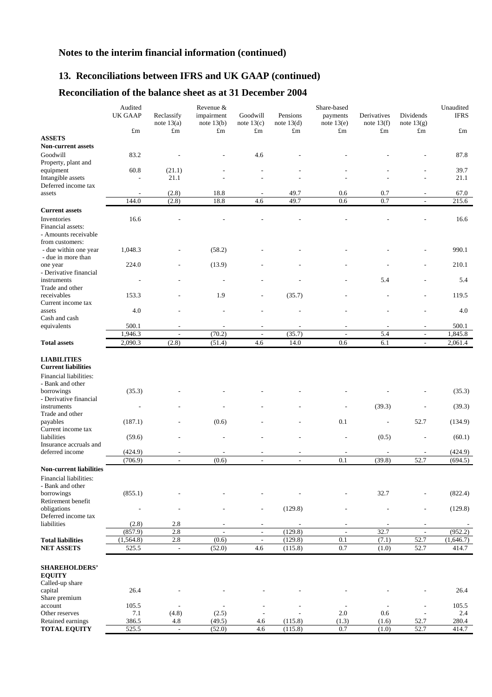# **13. Reconciliations between IFRS and UK GAAP (continued)**

# **Reconciliation of the balance sheet as at 31 December 2004**

|                                                  | Audited<br><b>UK GAAP</b> | Reclassify<br>note $13(a)$ | Revenue &<br>impairment<br>note $13(b)$ | Goodwill<br>note $13(c)$                   | Pensions<br>note $13(d)$ | Share-based<br>payments<br>note $13(e)$ | Derivatives<br>note $13(f)$ | Dividends<br>note $13(g)$        | Unaudited<br><b>IFRS</b> |
|--------------------------------------------------|---------------------------|----------------------------|-----------------------------------------|--------------------------------------------|--------------------------|-----------------------------------------|-----------------------------|----------------------------------|--------------------------|
|                                                  | $\pounds$ m               | $\pounds$ m                | $\pounds$ m                             | $\pounds$ m                                | £m                       | $\pounds$ m                             | $\pounds$ m                 | $\pounds$ m                      | $\pounds$ m              |
| <b>ASSETS</b>                                    |                           |                            |                                         |                                            |                          |                                         |                             |                                  |                          |
| <b>Non-current assets</b>                        |                           |                            |                                         |                                            |                          |                                         |                             |                                  |                          |
| Goodwill<br>Property, plant and                  | 83.2                      |                            |                                         | 4.6                                        |                          |                                         |                             |                                  | 87.8                     |
| equipment                                        | 60.8                      | (21.1)                     |                                         |                                            |                          |                                         |                             |                                  | 39.7                     |
| Intangible assets                                |                           | 21.1                       |                                         |                                            |                          |                                         |                             | $\overline{a}$                   | 21.1                     |
| Deferred income tax                              |                           |                            |                                         |                                            |                          |                                         |                             |                                  |                          |
| assets                                           | $\overline{\phantom{0}}$  | (2.8)                      | 18.8                                    | $\overline{a}$                             | 49.7                     | 0.6                                     | 0.7                         | $\overline{\phantom{a}}$         | 67.0                     |
|                                                  | 144.0                     | (2.8)                      | 18.8                                    | 4.6                                        | 49.7                     | 0.6                                     | 0.7                         | $\overline{a}$                   | 215.6                    |
| <b>Current assets</b>                            |                           |                            |                                         |                                            |                          |                                         |                             |                                  |                          |
| Inventories<br>Financial assets:                 | 16.6                      |                            |                                         |                                            |                          |                                         |                             |                                  | 16.6                     |
| - Amounts receivable<br>from customers:          |                           |                            |                                         |                                            |                          |                                         |                             |                                  |                          |
| - due within one year                            | 1,048.3                   |                            | (58.2)                                  |                                            |                          |                                         |                             |                                  | 990.1                    |
| - due in more than                               |                           |                            |                                         |                                            |                          |                                         |                             |                                  |                          |
| one year                                         | 224.0                     |                            | (13.9)                                  |                                            |                          |                                         |                             |                                  | 210.1                    |
| - Derivative financial                           |                           |                            |                                         |                                            |                          |                                         |                             |                                  |                          |
| instruments                                      |                           |                            |                                         |                                            |                          |                                         | 5.4                         |                                  | 5.4                      |
| Trade and other                                  |                           |                            |                                         |                                            |                          |                                         |                             |                                  |                          |
| receivables                                      | 153.3                     |                            | 1.9                                     |                                            | (35.7)                   |                                         |                             |                                  | 119.5                    |
| Current income tax<br>assets                     | 4.0                       |                            |                                         |                                            |                          |                                         |                             |                                  | 4.0                      |
| Cash and cash                                    |                           |                            |                                         |                                            |                          |                                         |                             |                                  |                          |
| equivalents                                      | 500.1                     |                            |                                         | ٠                                          |                          |                                         |                             |                                  | 500.1                    |
|                                                  | 1,946.3                   | L,                         | (70.2)                                  | ÷,                                         | (35.7)                   | L,                                      | 5.4                         | $\overline{\phantom{a}}$         | 1,845.8                  |
| <b>Total assets</b>                              | 2,090.3                   | (2.8)                      | (51.4)                                  | 4.6                                        | 14.0                     | 0.6                                     | 6.1                         | $\overline{a}$                   | 2,061.4                  |
| <b>LIABILITIES</b><br><b>Current liabilities</b> |                           |                            |                                         |                                            |                          |                                         |                             |                                  |                          |
| Financial liabilities:<br>- Bank and other       |                           |                            |                                         |                                            |                          |                                         |                             |                                  |                          |
| borrowings<br>- Derivative financial             | (35.3)                    |                            |                                         |                                            |                          |                                         |                             |                                  | (35.3)                   |
| instruments                                      | $\overline{a}$            |                            |                                         |                                            |                          |                                         | (39.3)                      |                                  | (39.3)                   |
| Trade and other                                  |                           |                            |                                         |                                            |                          |                                         |                             |                                  |                          |
| payables                                         | (187.1)                   |                            | (0.6)                                   |                                            |                          | 0.1                                     | $\overline{\phantom{a}}$    | 52.7                             | (134.9)                  |
| Current income tax                               |                           |                            |                                         |                                            |                          |                                         |                             |                                  |                          |
| liabilities                                      | (59.6)                    |                            |                                         |                                            |                          |                                         | (0.5)                       | $\overline{\phantom{a}}$         | (60.1)                   |
| Insurance accruals and<br>deferred income        | (424.9)                   | $\overline{a}$             |                                         | $\overline{a}$                             |                          | L,                                      | $\sim$                      |                                  | (424.9)                  |
|                                                  | (706.9)                   | $\overline{a}$             | (0.6)                                   | $\overline{a}$                             | $\overline{a}$           | 0.1                                     | (39.8)                      | 52.7                             | (694.5)                  |
| <b>Non-current liabilities</b>                   |                           |                            |                                         |                                            |                          |                                         |                             |                                  |                          |
| Financial liabilities:<br>- Bank and other       |                           |                            |                                         |                                            |                          |                                         |                             |                                  |                          |
| borrowings                                       | (855.1)                   |                            |                                         |                                            |                          |                                         | 32.7                        |                                  | (822.4)                  |
| Retirement benefit                               |                           |                            |                                         |                                            |                          |                                         |                             |                                  |                          |
| obligations                                      | $\overline{a}$            | $\overline{\phantom{a}}$   |                                         | $\overline{a}$                             | (129.8)                  |                                         | $\overline{a}$              | $\overline{\phantom{a}}$         | (129.8)                  |
| Deferred income tax<br>liabilities               |                           | 2.8                        |                                         |                                            |                          |                                         |                             |                                  |                          |
|                                                  | (2.8)<br>(857.9)          | 2.8                        | $\mathcal{L}_{\mathcal{A}}$             | $\overline{a}$<br>$\overline{\phantom{a}}$ | (129.8)                  | $\overline{\phantom{a}}$                | 32.7                        | $\blacksquare$                   | (952.2)                  |
| <b>Total liabilities</b>                         | (1, 564.8)                | 2.8                        | (0.6)                                   | $\overline{\phantom{a}}$                   | (129.8)                  | 0.1                                     | (7.1)                       | 52.7                             | (1,646.7)                |
| <b>NET ASSETS</b>                                | 525.5                     | $\blacksquare$             | (52.0)                                  | 4.6                                        | (115.8)                  | 0.7                                     | (1.0)                       | 52.7                             | 414.7                    |
|                                                  |                           |                            |                                         |                                            |                          |                                         |                             |                                  |                          |
| <b>SHAREHOLDERS'</b><br><b>EQUITY</b>            |                           |                            |                                         |                                            |                          |                                         |                             |                                  |                          |
| Called-up share                                  |                           |                            |                                         |                                            |                          |                                         |                             |                                  |                          |
| capital<br>Share premium                         | 26.4                      |                            |                                         |                                            |                          |                                         |                             |                                  | 26.4                     |
| account                                          | 105.5                     | $\overline{\phantom{a}}$   | $\overline{\phantom{a}}$                |                                            |                          | $\overline{\phantom{a}}$<br>2.0         | $\overline{\phantom{a}}$    | $\overline{\phantom{a}}$         | 105.5                    |
| Other reserves<br>Retained earnings              | 7.1<br>386.5              | (4.8)<br>4.8               | (2.5)<br>(49.5)                         | 4.6                                        | (115.8)                  | (1.3)                                   | 0.6<br>(1.6)                | $\overline{\phantom{a}}$<br>52.7 | 2.4<br>280.4             |
| <b>TOTAL EQUITY</b>                              | 525.5                     | $\blacksquare$             | (52.0)                                  | 4.6                                        | (115.8)                  | 0.7                                     | (1.0)                       | 52.7                             | 414.7                    |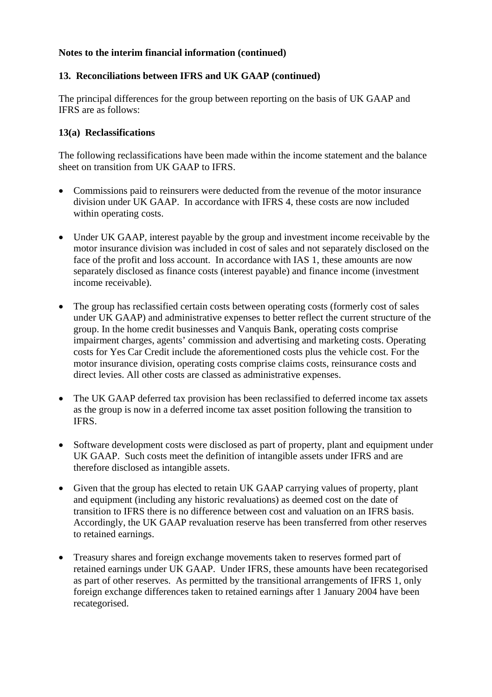## **13. Reconciliations between IFRS and UK GAAP (continued)**

The principal differences for the group between reporting on the basis of UK GAAP and IFRS are as follows:

### **13(a) Reclassifications**

The following reclassifications have been made within the income statement and the balance sheet on transition from UK GAAP to IFRS.

- Commissions paid to reinsurers were deducted from the revenue of the motor insurance division under UK GAAP. In accordance with IFRS 4, these costs are now included within operating costs.
- Under UK GAAP, interest payable by the group and investment income receivable by the motor insurance division was included in cost of sales and not separately disclosed on the face of the profit and loss account. In accordance with IAS 1, these amounts are now separately disclosed as finance costs (interest payable) and finance income (investment income receivable).
- The group has reclassified certain costs between operating costs (formerly cost of sales under UK GAAP) and administrative expenses to better reflect the current structure of the group. In the home credit businesses and Vanquis Bank, operating costs comprise impairment charges, agents' commission and advertising and marketing costs. Operating costs for Yes Car Credit include the aforementioned costs plus the vehicle cost. For the motor insurance division, operating costs comprise claims costs, reinsurance costs and direct levies. All other costs are classed as administrative expenses.
- The UK GAAP deferred tax provision has been reclassified to deferred income tax assets as the group is now in a deferred income tax asset position following the transition to IFRS.
- Software development costs were disclosed as part of property, plant and equipment under UK GAAP. Such costs meet the definition of intangible assets under IFRS and are therefore disclosed as intangible assets.
- Given that the group has elected to retain UK GAAP carrying values of property, plant and equipment (including any historic revaluations) as deemed cost on the date of transition to IFRS there is no difference between cost and valuation on an IFRS basis. Accordingly, the UK GAAP revaluation reserve has been transferred from other reserves to retained earnings.
- Treasury shares and foreign exchange movements taken to reserves formed part of retained earnings under UK GAAP. Under IFRS, these amounts have been recategorised as part of other reserves. As permitted by the transitional arrangements of IFRS 1, only foreign exchange differences taken to retained earnings after 1 January 2004 have been recategorised.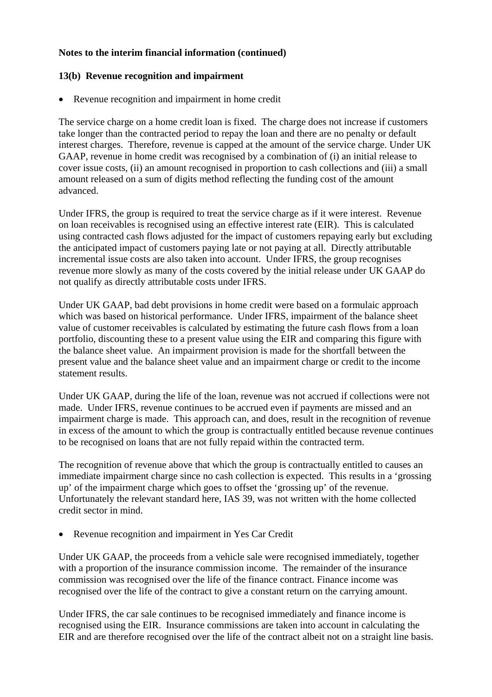### **13(b) Revenue recognition and impairment**

• Revenue recognition and impairment in home credit

The service charge on a home credit loan is fixed. The charge does not increase if customers take longer than the contracted period to repay the loan and there are no penalty or default interest charges. Therefore, revenue is capped at the amount of the service charge. Under UK GAAP, revenue in home credit was recognised by a combination of (i) an initial release to cover issue costs, (ii) an amount recognised in proportion to cash collections and (iii) a small amount released on a sum of digits method reflecting the funding cost of the amount advanced.

Under IFRS, the group is required to treat the service charge as if it were interest. Revenue on loan receivables is recognised using an effective interest rate (EIR). This is calculated using contracted cash flows adjusted for the impact of customers repaying early but excluding the anticipated impact of customers paying late or not paying at all. Directly attributable incremental issue costs are also taken into account. Under IFRS, the group recognises revenue more slowly as many of the costs covered by the initial release under UK GAAP do not qualify as directly attributable costs under IFRS.

Under UK GAAP, bad debt provisions in home credit were based on a formulaic approach which was based on historical performance. Under IFRS, impairment of the balance sheet value of customer receivables is calculated by estimating the future cash flows from a loan portfolio, discounting these to a present value using the EIR and comparing this figure with the balance sheet value. An impairment provision is made for the shortfall between the present value and the balance sheet value and an impairment charge or credit to the income statement results.

Under UK GAAP, during the life of the loan, revenue was not accrued if collections were not made. Under IFRS, revenue continues to be accrued even if payments are missed and an impairment charge is made. This approach can, and does, result in the recognition of revenue in excess of the amount to which the group is contractually entitled because revenue continues to be recognised on loans that are not fully repaid within the contracted term.

The recognition of revenue above that which the group is contractually entitled to causes an immediate impairment charge since no cash collection is expected. This results in a 'grossing up' of the impairment charge which goes to offset the 'grossing up' of the revenue. Unfortunately the relevant standard here, IAS 39, was not written with the home collected credit sector in mind.

Revenue recognition and impairment in Yes Car Credit

Under UK GAAP, the proceeds from a vehicle sale were recognised immediately, together with a proportion of the insurance commission income. The remainder of the insurance commission was recognised over the life of the finance contract. Finance income was recognised over the life of the contract to give a constant return on the carrying amount.

Under IFRS, the car sale continues to be recognised immediately and finance income is recognised using the EIR. Insurance commissions are taken into account in calculating the EIR and are therefore recognised over the life of the contract albeit not on a straight line basis.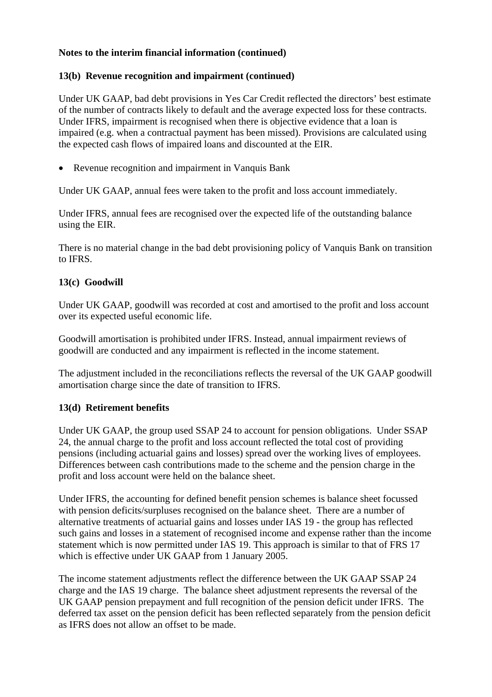# **13(b) Revenue recognition and impairment (continued)**

Under UK GAAP, bad debt provisions in Yes Car Credit reflected the directors' best estimate of the number of contracts likely to default and the average expected loss for these contracts. Under IFRS, impairment is recognised when there is objective evidence that a loan is impaired (e.g. when a contractual payment has been missed). Provisions are calculated using the expected cash flows of impaired loans and discounted at the EIR.

• Revenue recognition and impairment in Vanquis Bank

Under UK GAAP, annual fees were taken to the profit and loss account immediately.

Under IFRS, annual fees are recognised over the expected life of the outstanding balance using the EIR.

There is no material change in the bad debt provisioning policy of Vanquis Bank on transition to IFRS.

## **13(c) Goodwill**

Under UK GAAP, goodwill was recorded at cost and amortised to the profit and loss account over its expected useful economic life.

Goodwill amortisation is prohibited under IFRS. Instead, annual impairment reviews of goodwill are conducted and any impairment is reflected in the income statement.

The adjustment included in the reconciliations reflects the reversal of the UK GAAP goodwill amortisation charge since the date of transition to IFRS.

## **13(d) Retirement benefits**

Under UK GAAP, the group used SSAP 24 to account for pension obligations. Under SSAP 24, the annual charge to the profit and loss account reflected the total cost of providing pensions (including actuarial gains and losses) spread over the working lives of employees. Differences between cash contributions made to the scheme and the pension charge in the profit and loss account were held on the balance sheet.

Under IFRS, the accounting for defined benefit pension schemes is balance sheet focussed with pension deficits/surpluses recognised on the balance sheet. There are a number of alternative treatments of actuarial gains and losses under IAS 19 - the group has reflected such gains and losses in a statement of recognised income and expense rather than the income statement which is now permitted under IAS 19. This approach is similar to that of FRS 17 which is effective under UK GAAP from 1 January 2005.

The income statement adjustments reflect the difference between the UK GAAP SSAP 24 charge and the IAS 19 charge. The balance sheet adjustment represents the reversal of the UK GAAP pension prepayment and full recognition of the pension deficit under IFRS. The deferred tax asset on the pension deficit has been reflected separately from the pension deficit as IFRS does not allow an offset to be made.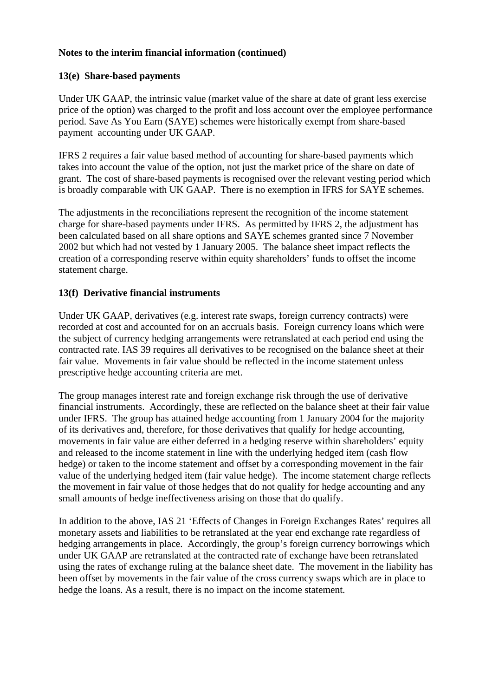### **13(e) Share-based payments**

Under UK GAAP, the intrinsic value (market value of the share at date of grant less exercise price of the option) was charged to the profit and loss account over the employee performance period. Save As You Earn (SAYE) schemes were historically exempt from share-based payment accounting under UK GAAP.

IFRS 2 requires a fair value based method of accounting for share-based payments which takes into account the value of the option, not just the market price of the share on date of grant. The cost of share-based payments is recognised over the relevant vesting period which is broadly comparable with UK GAAP. There is no exemption in IFRS for SAYE schemes.

The adjustments in the reconciliations represent the recognition of the income statement charge for share-based payments under IFRS. As permitted by IFRS 2, the adjustment has been calculated based on all share options and SAYE schemes granted since 7 November 2002 but which had not vested by 1 January 2005. The balance sheet impact reflects the creation of a corresponding reserve within equity shareholders' funds to offset the income statement charge.

#### **13(f) Derivative financial instruments**

Under UK GAAP, derivatives (e.g. interest rate swaps, foreign currency contracts) were recorded at cost and accounted for on an accruals basis. Foreign currency loans which were the subject of currency hedging arrangements were retranslated at each period end using the contracted rate. IAS 39 requires all derivatives to be recognised on the balance sheet at their fair value. Movements in fair value should be reflected in the income statement unless prescriptive hedge accounting criteria are met.

The group manages interest rate and foreign exchange risk through the use of derivative financial instruments. Accordingly, these are reflected on the balance sheet at their fair value under IFRS. The group has attained hedge accounting from 1 January 2004 for the majority of its derivatives and, therefore, for those derivatives that qualify for hedge accounting, movements in fair value are either deferred in a hedging reserve within shareholders' equity and released to the income statement in line with the underlying hedged item (cash flow hedge) or taken to the income statement and offset by a corresponding movement in the fair value of the underlying hedged item (fair value hedge). The income statement charge reflects the movement in fair value of those hedges that do not qualify for hedge accounting and any small amounts of hedge ineffectiveness arising on those that do qualify.

In addition to the above, IAS 21 'Effects of Changes in Foreign Exchanges Rates' requires all monetary assets and liabilities to be retranslated at the year end exchange rate regardless of hedging arrangements in place. Accordingly, the group's foreign currency borrowings which under UK GAAP are retranslated at the contracted rate of exchange have been retranslated using the rates of exchange ruling at the balance sheet date. The movement in the liability has been offset by movements in the fair value of the cross currency swaps which are in place to hedge the loans. As a result, there is no impact on the income statement.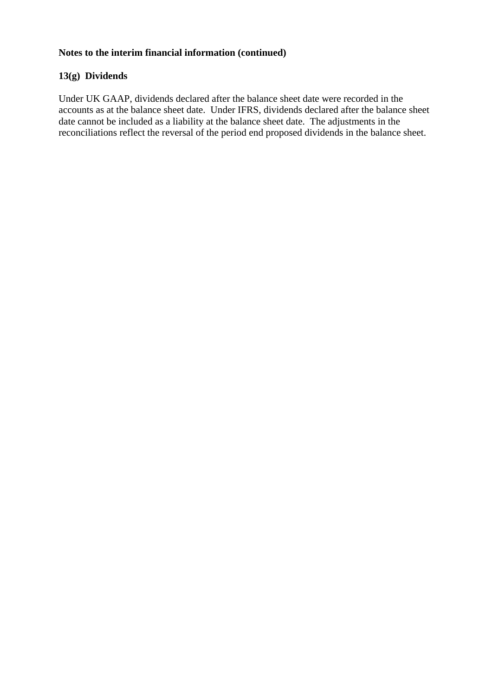# **13(g) Dividends**

Under UK GAAP, dividends declared after the balance sheet date were recorded in the accounts as at the balance sheet date. Under IFRS, dividends declared after the balance sheet date cannot be included as a liability at the balance sheet date. The adjustments in the reconciliations reflect the reversal of the period end proposed dividends in the balance sheet.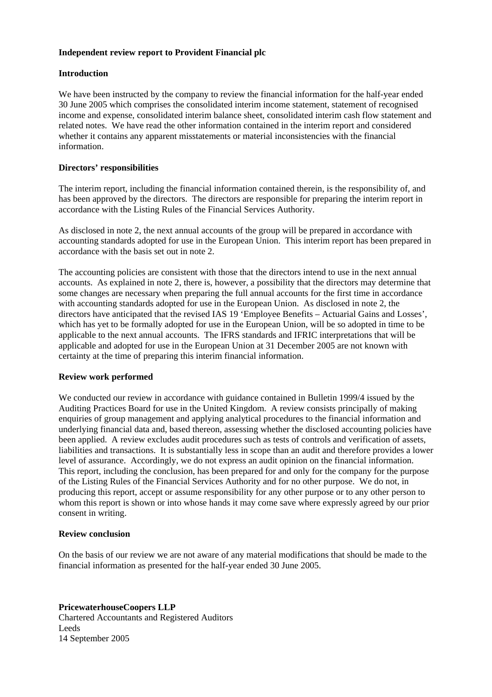#### **Independent review report to Provident Financial plc**

#### **Introduction**

We have been instructed by the company to review the financial information for the half-year ended 30 June 2005 which comprises the consolidated interim income statement, statement of recognised income and expense, consolidated interim balance sheet, consolidated interim cash flow statement and related notes. We have read the other information contained in the interim report and considered whether it contains any apparent misstatements or material inconsistencies with the financial information.

#### **Directors' responsibilities**

The interim report, including the financial information contained therein, is the responsibility of, and has been approved by the directors. The directors are responsible for preparing the interim report in accordance with the Listing Rules of the Financial Services Authority.

As disclosed in note 2, the next annual accounts of the group will be prepared in accordance with accounting standards adopted for use in the European Union. This interim report has been prepared in accordance with the basis set out in note 2.

The accounting policies are consistent with those that the directors intend to use in the next annual accounts. As explained in note 2, there is, however, a possibility that the directors may determine that some changes are necessary when preparing the full annual accounts for the first time in accordance with accounting standards adopted for use in the European Union. As disclosed in note 2, the directors have anticipated that the revised IAS 19 'Employee Benefits – Actuarial Gains and Losses', which has yet to be formally adopted for use in the European Union, will be so adopted in time to be applicable to the next annual accounts. The IFRS standards and IFRIC interpretations that will be applicable and adopted for use in the European Union at 31 December 2005 are not known with certainty at the time of preparing this interim financial information.

#### **Review work performed**

We conducted our review in accordance with guidance contained in Bulletin 1999/4 issued by the Auditing Practices Board for use in the United Kingdom. A review consists principally of making enquiries of group management and applying analytical procedures to the financial information and underlying financial data and, based thereon, assessing whether the disclosed accounting policies have been applied. A review excludes audit procedures such as tests of controls and verification of assets, liabilities and transactions. It is substantially less in scope than an audit and therefore provides a lower level of assurance. Accordingly, we do not express an audit opinion on the financial information. This report, including the conclusion, has been prepared for and only for the company for the purpose of the Listing Rules of the Financial Services Authority and for no other purpose. We do not, in producing this report, accept or assume responsibility for any other purpose or to any other person to whom this report is shown or into whose hands it may come save where expressly agreed by our prior consent in writing.

#### **Review conclusion**

On the basis of our review we are not aware of any material modifications that should be made to the financial information as presented for the half-year ended 30 June 2005.

#### **PricewaterhouseCoopers LLP**  Chartered Accountants and Registered Auditors Leeds 14 September 2005